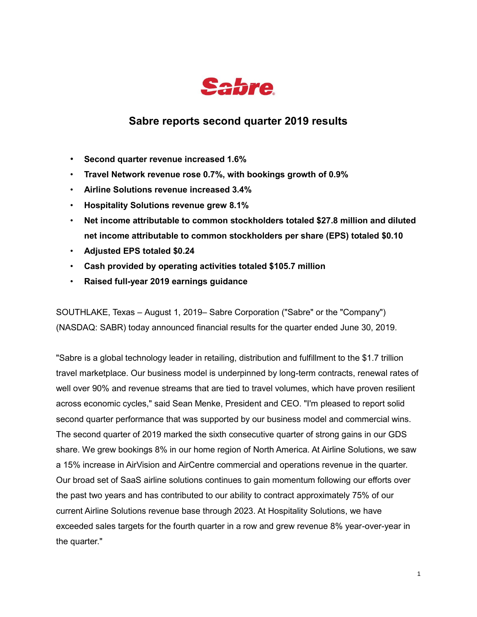

## **Sabre reports second quarter 2019 results**

- **Second quarter revenue increased 1.6%**
- **Travel Network revenue rose 0.7%, with bookings growth of 0.9%**
- **Airline Solutions revenue increased 3.4%**
- **Hospitality Solutions revenue grew 8.1%**
- **Net income attributable to common stockholders totaled \$27.8 million and diluted net income attributable to common stockholders per share (EPS) totaled \$0.10**
- **Adjusted EPS totaled \$0.24**
- **Cash provided by operating activities totaled \$105.7 million**
- **Raised full-year 2019 earnings guidance**

SOUTHLAKE, Texas – August 1, 2019– Sabre Corporation ("Sabre" or the "Company") (NASDAQ: SABR) today announced financial results for the quarter ended June 30, 2019.

"Sabre is a global technology leader in retailing, distribution and fulfillment to the \$1.7 trillion travel marketplace. Our business model is underpinned by long-term contracts, renewal rates of well over 90% and revenue streams that are tied to travel volumes, which have proven resilient across economic cycles," said Sean Menke, President and CEO. "I'm pleased to report solid second quarter performance that was supported by our business model and commercial wins. The second quarter of 2019 marked the sixth consecutive quarter of strong gains in our GDS share. We grew bookings 8% in our home region of North America. At Airline Solutions, we saw a 15% increase in AirVision and AirCentre commercial and operations revenue in the quarter. Our broad set of SaaS airline solutions continues to gain momentum following our efforts over the past two years and has contributed to our ability to contract approximately 75% of our current Airline Solutions revenue base through 2023. At Hospitality Solutions, we have exceeded sales targets for the fourth quarter in a row and grew revenue 8% year-over-year in the quarter."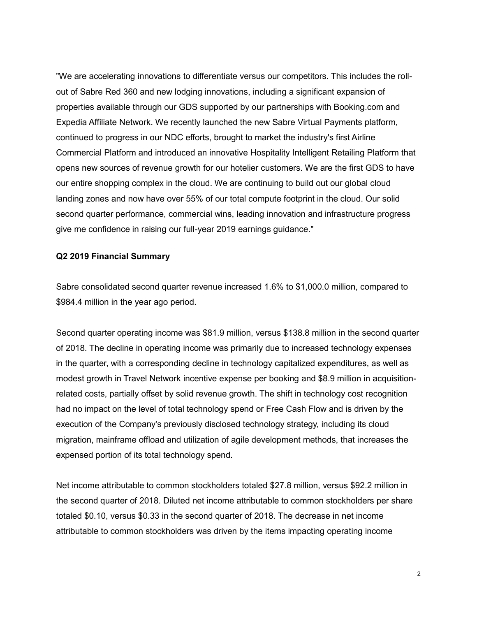"We are accelerating innovations to differentiate versus our competitors. This includes the rollout of Sabre Red 360 and new lodging innovations, including a significant expansion of properties available through our GDS supported by our partnerships with Booking.com and Expedia Affiliate Network. We recently launched the new Sabre Virtual Payments platform, continued to progress in our NDC efforts, brought to market the industry's first Airline Commercial Platform and introduced an innovative Hospitality Intelligent Retailing Platform that opens new sources of revenue growth for our hotelier customers. We are the first GDS to have our entire shopping complex in the cloud. We are continuing to build out our global cloud landing zones and now have over 55% of our total compute footprint in the cloud. Our solid second quarter performance, commercial wins, leading innovation and infrastructure progress give me confidence in raising our full-year 2019 earnings guidance."

#### **Q2 2019 Financial Summary**

Sabre consolidated second quarter revenue increased 1.6% to \$1,000.0 million, compared to \$984.4 million in the year ago period.

Second quarter operating income was \$81.9 million, versus \$138.8 million in the second quarter of 2018. The decline in operating income was primarily due to increased technology expenses in the quarter, with a corresponding decline in technology capitalized expenditures, as well as modest growth in Travel Network incentive expense per booking and \$8.9 million in acquisitionrelated costs, partially offset by solid revenue growth. The shift in technology cost recognition had no impact on the level of total technology spend or Free Cash Flow and is driven by the execution of the Company's previously disclosed technology strategy, including its cloud migration, mainframe offload and utilization of agile development methods, that increases the expensed portion of its total technology spend.

Net income attributable to common stockholders totaled \$27.8 million, versus \$92.2 million in the second quarter of 2018. Diluted net income attributable to common stockholders per share totaled \$0.10, versus \$0.33 in the second quarter of 2018. The decrease in net income attributable to common stockholders was driven by the items impacting operating income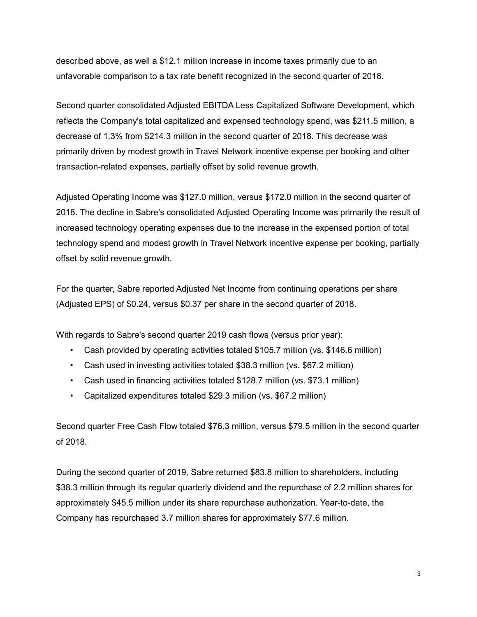described above, as well a \$12.1 million increase in income taxes primarily due to an unfavorable comparison to a tax rate benefit recognized in the second quarter of 2018.

Second quarter consolidated Adjusted EBITDA Less Capitalized Software Development, which reflects the Company's total capitalized and expensed technology spend, was \$211.5 million, a decrease of 1.3% from \$214.3 million in the second quarter of 2018. This decrease was primarily driven by modest growth in Travel Network incentive expense per booking and other transaction-related expenses, partially offset by solid revenue growth.

Adjusted Operating Income was \$127.0 million, versus \$172.0 million in the second quarter of 2018. The decline in Sabre's consolidated Adjusted Operating Income was primarily the result of increased technology operating expenses due to the increase in the expensed portion of total technology spend and modest growth in Travel Network incentive expense per booking, partially offset by solid revenue growth.

For the quarter, Sabre reported Adjusted Net Income from continuing operations per share (Adjusted EPS) of \$0.24, versus \$0.37 per share in the second quarter of 2018.

With regards to Sabre's second quarter 2019 cash flows (versus prior year):

- Cash provided by operating activities totaled \$105.7 million (vs. \$146.6 million)
- Cash used in investing activities totaled \$38.3 million (vs. \$67.2 million)
- Cash used in financing activities totaled \$128.7 million (vs. \$73.1 million)
- Capitalized expenditures totaled \$29.3 million (vs. \$67.2 million)

Second quarter Free Cash Flow totaled \$76.3 million, versus \$79.5 million in the second quarter of 2018.

During the second quarter of 2019, Sabre returned \$83.8 million to shareholders, including \$38.3 million through its regular quarterly dividend and the repurchase of 2.2 million shares for approximately \$45.5 million under its share repurchase authorization. Year-to-date, the Company has repurchased 3.7 million shares for approximately \$77.6 million.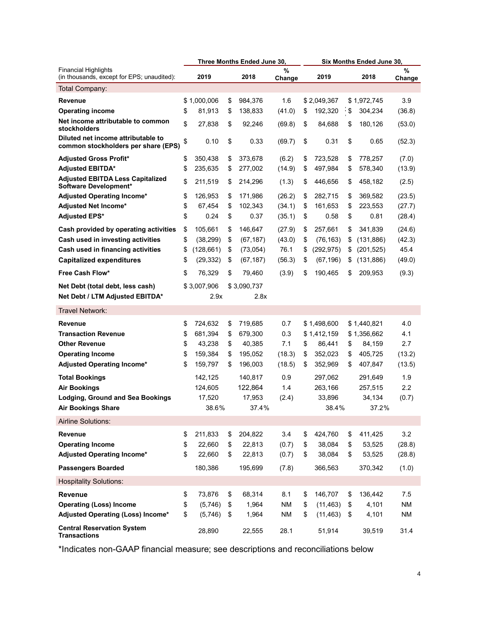|                                                                           |                  | Three Months Ended June 30, |             | Six Months Ended June 30, |             |    |             |                |
|---------------------------------------------------------------------------|------------------|-----------------------------|-------------|---------------------------|-------------|----|-------------|----------------|
| Financial Highlights<br>(in thousands, except for EPS; unaudited):        | 2019             | 2018                        | %<br>Change |                           | 2019        |    | 2018        | $\%$<br>Change |
| Total Company:                                                            |                  |                             |             |                           |             |    |             |                |
| <b>Revenue</b>                                                            | \$1,000,006      | \$<br>984,376               | 1.6         |                           | \$2,049,367 |    | \$1.972.745 | 3.9            |
| <b>Operating income</b>                                                   | \$<br>81,913     | \$<br>138,833               | (41.0)      | \$                        | 192,320     | \$ | 304,234     | (36.8)         |
| Net income attributable to common<br>stockholders                         | \$<br>27,838     | \$<br>92,246                | (69.8)      | \$                        | 84,688      | \$ | 180,126     | (53.0)         |
| Diluted net income attributable to<br>common stockholders per share (EPS) | \$<br>0.10       | \$<br>0.33                  | (69.7)      | \$                        | 0.31        | \$ | 0.65        | (52.3)         |
| <b>Adjusted Gross Profit*</b>                                             | \$<br>350.438    | \$<br>373,678               | (6.2)       | \$                        | 723,528     | \$ | 778,257     | (7.0)          |
| <b>Adjusted EBITDA*</b>                                                   | \$<br>235,635    | \$<br>277,002               | (14.9)      | \$                        | 497,984     | \$ | 578,340     | (13.9)         |
| <b>Adjusted EBITDA Less Capitalized</b><br>Software Development*          | \$<br>211,519    | \$<br>214,296               | (1.3)       | \$                        | 446,656     | \$ | 458,182     | (2.5)          |
| <b>Adjusted Operating Income*</b>                                         | \$<br>126,953    | \$<br>171,986               | (26.2)      | \$                        | 282,715     | \$ | 369,582     | (23.5)         |
| <b>Adjusted Net Income*</b>                                               | \$<br>67,454     | \$<br>102,343               | (34.1)      | \$                        | 161,653     | \$ | 223,553     | (27.7)         |
| <b>Adjusted EPS*</b>                                                      | \$<br>0.24       | \$<br>0.37                  | (35.1)      | \$                        | 0.58        | \$ | 0.81        | (28.4)         |
| Cash provided by operating activities                                     | \$<br>105.661    | \$<br>146,647               | (27.9)      | \$                        | 257,661     | \$ | 341.839     | (24.6)         |
| Cash used in investing activities                                         | \$<br>(38, 299)  | \$<br>(67, 187)             | (43.0)      | \$                        | (76, 163)   | \$ | (131, 886)  | (42.3)         |
| Cash used in financing activities                                         | \$<br>(128, 661) | \$<br>(73, 054)             | 76.1        | \$                        | (292, 975)  | \$ | (201, 525)  | 45.4           |
| <b>Capitalized expenditures</b>                                           | \$<br>(29, 332)  | \$<br>(67, 187)             | (56.3)      | \$                        | (67, 196)   | \$ | (131, 886)  | (49.0)         |
| Free Cash Flow*                                                           | \$<br>76,329     | \$<br>79,460                | (3.9)       | \$                        | 190,465     | \$ | 209,953     | (9.3)          |
| Net Debt (total debt, less cash)                                          | \$3,007,906      | \$3,090,737                 |             |                           |             |    |             |                |
| Net Debt / LTM Adjusted EBITDA*                                           | 2.9x             | 2.8x                        |             |                           |             |    |             |                |
| <b>Travel Network:</b>                                                    |                  |                             |             |                           |             |    |             |                |
| <b>Revenue</b>                                                            | \$<br>724,632    | \$<br>719,685               | 0.7         |                           | \$1,498,600 |    | \$1,440,821 | 4.0            |
| <b>Transaction Revenue</b>                                                | \$<br>681,394    | \$<br>679,300               | 0.3         |                           | \$1,412,159 |    | \$1,356,662 | 4.1            |
| <b>Other Revenue</b>                                                      | \$<br>43,238     | \$<br>40,385                | 7.1         | \$                        | 86,441      | \$ | 84,159      | 2.7            |
| <b>Operating Income</b>                                                   | \$<br>159,384    | \$<br>195,052               | (18.3)      | \$                        | 352,023     | \$ | 405,725     | (13.2)         |
| Adjusted Operating Income*                                                | \$<br>159,797    | \$<br>196,003               | (18.5)      | \$                        | 352,969     | \$ | 407,847     | (13.5)         |
| <b>Total Bookings</b>                                                     | 142,125          | 140,817                     | 0.9         |                           | 297,062     |    | 291,649     | 1.9            |
| <b>Air Bookings</b>                                                       | 124,605          | 122,864                     | 1.4         |                           | 263,166     |    | 257,515     | $2.2\,$        |
| <b>Lodging, Ground and Sea Bookings</b>                                   | 17,520           | 17,953                      | (2.4)       |                           | 33,896      |    | 34,134      | (0.7)          |
| <b>Air Bookings Share</b>                                                 | 38.6%            | 37.4%                       |             |                           | 38.4%       |    | 37.2%       |                |
| Airline Solutions:                                                        |                  |                             |             |                           |             |    |             |                |
| Revenue                                                                   | \$<br>211,833    | \$<br>204,822               | 3.4         | \$                        | 424,760     | \$ | 411,425     | 3.2            |
| <b>Operating Income</b>                                                   | \$<br>22,660     | \$<br>22,813                | (0.7)       | \$                        | 38,084      | \$ | 53,525      | (28.8)         |
| Adjusted Operating Income*                                                | \$<br>22,660     | \$<br>22,813                | (0.7)       | \$                        | 38,084      | \$ | 53,525      | (28.8)         |
| <b>Passengers Boarded</b>                                                 | 180,386          | 195,699                     | (7.8)       |                           | 366,563     |    | 370,342     | (1.0)          |
| <b>Hospitality Solutions:</b>                                             |                  |                             |             |                           |             |    |             |                |
| <b>Revenue</b>                                                            | \$<br>73,876     | \$<br>68,314                | 8.1         | \$                        | 146,707     | \$ | 136,442     | 7.5            |
| <b>Operating (Loss) Income</b>                                            | \$<br>(5,746)    | \$<br>1,964                 | NM          | \$                        | (11, 463)   | \$ | 4,101       | <b>NM</b>      |
| Adjusted Operating (Loss) Income*                                         | \$<br>(5,746)    | \$<br>1,964                 | NM          | \$                        | (11, 463)   | \$ | 4,101       | NM             |
| <b>Central Reservation System</b><br><b>Transactions</b>                  | 28,890           | 22,555                      | 28.1        |                           | 51,914      |    | 39,519      | 31.4           |

\*Indicates non-GAAP financial measure; see descriptions and reconciliations below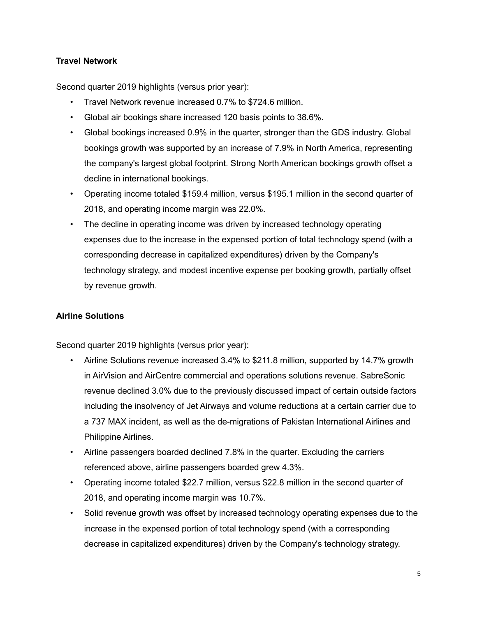## **Travel Network**

Second quarter 2019 highlights (versus prior year):

- Travel Network revenue increased 0.7% to \$724.6 million.
- Global air bookings share increased 120 basis points to 38.6%.
- Global bookings increased 0.9% in the quarter, stronger than the GDS industry. Global bookings growth was supported by an increase of 7.9% in North America, representing the company's largest global footprint. Strong North American bookings growth offset a decline in international bookings.
- Operating income totaled \$159.4 million, versus \$195.1 million in the second quarter of 2018, and operating income margin was 22.0%.
- The decline in operating income was driven by increased technology operating expenses due to the increase in the expensed portion of total technology spend (with a corresponding decrease in capitalized expenditures) driven by the Company's technology strategy, and modest incentive expense per booking growth, partially offset by revenue growth.

### **Airline Solutions**

Second quarter 2019 highlights (versus prior year):

- Airline Solutions revenue increased 3.4% to \$211.8 million, supported by 14.7% growth in AirVision and AirCentre commercial and operations solutions revenue. SabreSonic revenue declined 3.0% due to the previously discussed impact of certain outside factors including the insolvency of Jet Airways and volume reductions at a certain carrier due to a 737 MAX incident, as well as the de-migrations of Pakistan International Airlines and Philippine Airlines.
- Airline passengers boarded declined 7.8% in the quarter. Excluding the carriers referenced above, airline passengers boarded grew 4.3%.
- Operating income totaled \$22.7 million, versus \$22.8 million in the second quarter of 2018, and operating income margin was 10.7%.
- Solid revenue growth was offset by increased technology operating expenses due to the increase in the expensed portion of total technology spend (with a corresponding decrease in capitalized expenditures) driven by the Company's technology strategy.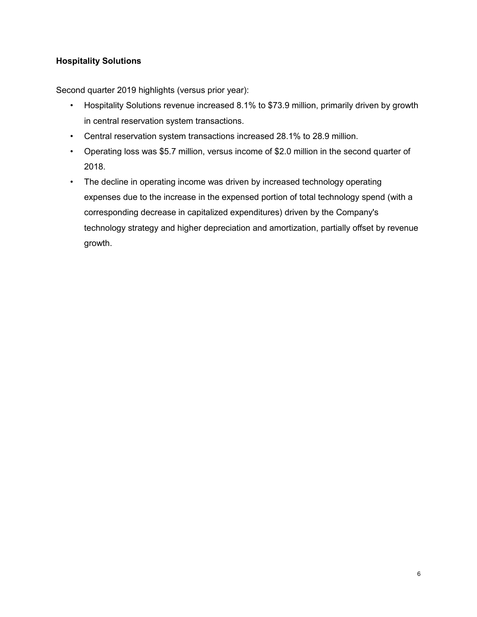## **Hospitality Solutions**

Second quarter 2019 highlights (versus prior year):

- Hospitality Solutions revenue increased 8.1% to \$73.9 million, primarily driven by growth in central reservation system transactions.
- Central reservation system transactions increased 28.1% to 28.9 million.
- Operating loss was \$5.7 million, versus income of \$2.0 million in the second quarter of 2018.
- The decline in operating income was driven by increased technology operating expenses due to the increase in the expensed portion of total technology spend (with a corresponding decrease in capitalized expenditures) driven by the Company's technology strategy and higher depreciation and amortization, partially offset by revenue growth.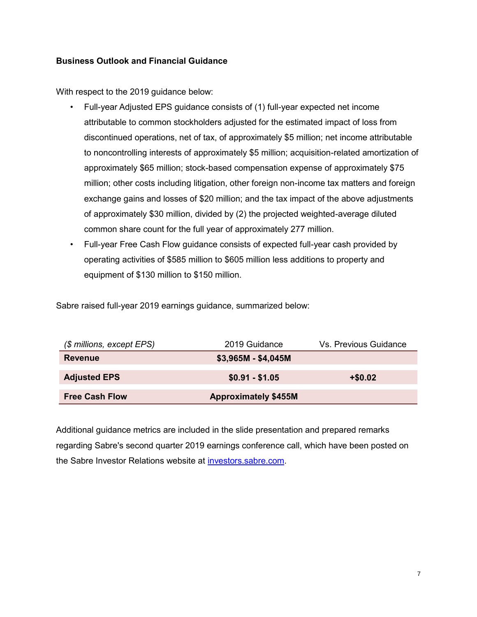## **Business Outlook and Financial Guidance**

With respect to the 2019 guidance below:

- Full-year Adjusted EPS guidance consists of (1) full-year expected net income attributable to common stockholders adjusted for the estimated impact of loss from discontinued operations, net of tax, of approximately \$5 million; net income attributable to noncontrolling interests of approximately \$5 million; acquisition-related amortization of approximately \$65 million; stock-based compensation expense of approximately \$75 million; other costs including litigation, other foreign non-income tax matters and foreign exchange gains and losses of \$20 million; and the tax impact of the above adjustments of approximately \$30 million, divided by (2) the projected weighted-average diluted common share count for the full year of approximately 277 million.
- Full-year Free Cash Flow guidance consists of expected full-year cash provided by operating activities of \$585 million to \$605 million less additions to property and equipment of \$130 million to \$150 million.

Sabre raised full-year 2019 earnings guidance, summarized below:

| (\$ millions, except EPS) | 2019 Guidance               | Vs. Previous Guidance |
|---------------------------|-----------------------------|-----------------------|
| <b>Revenue</b>            | $$3,965M - $4,045M$         |                       |
| <b>Adjusted EPS</b>       | $$0.91 - $1.05$             | $+ $0.02$             |
| <b>Free Cash Flow</b>     | <b>Approximately \$455M</b> |                       |

Additional guidance metrics are included in the slide presentation and prepared remarks regarding Sabre's second quarter 2019 earnings conference call, which have been posted on the Sabre Investor Relations website at [investors.sabre.com.](https://investors.sabre.com/)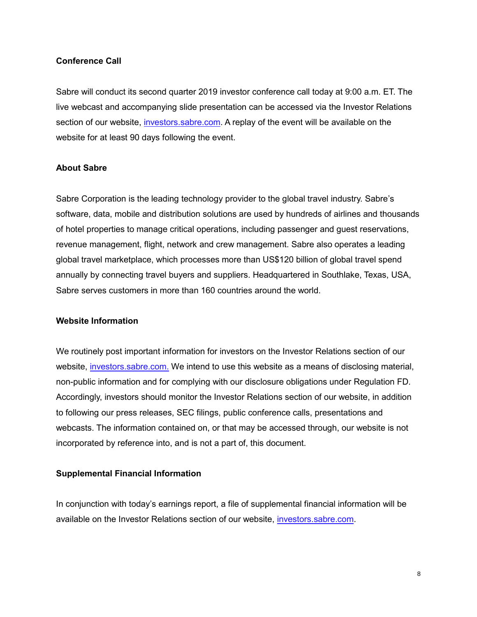### **Conference Call**

Sabre will conduct its second quarter 2019 investor conference call today at 9:00 a.m. ET. The live webcast and accompanying slide presentation can be accessed via the Investor Relations section of our website, investors.sabre.com. A replay of the event will be available on the website for at least 90 days following the event.

#### **About Sabre**

Sabre Corporation is the leading technology provider to the global travel industry. Sabre's software, data, mobile and distribution solutions are used by hundreds of airlines and thousands of hotel properties to manage critical operations, including passenger and guest reservations, revenue management, flight, network and crew management. Sabre also operates a leading global travel marketplace, which processes more than US\$120 billion of global travel spend annually by connecting travel buyers and suppliers. Headquartered in Southlake, Texas, USA, Sabre serves customers in more than 160 countries around the world.

#### **Website Information**

We routinely post important information for investors on the Investor Relations section of our website, investors.sabre.com. We intend to use this website as a means of disclosing material, non-public information and for complying with our disclosure obligations under Regulation FD. Accordingly, investors should monitor the Investor Relations section of our website, in addition to following our press releases, SEC filings, public conference calls, presentations and webcasts. The information contained on, or that may be accessed through, our website is not incorporated by reference into, and is not a part of, this document.

### **Supplemental Financial Information**

In conjunction with today's earnings report, a file of supplemental financial information will be available on the Investor Relations section of our website, investors.sabre.com.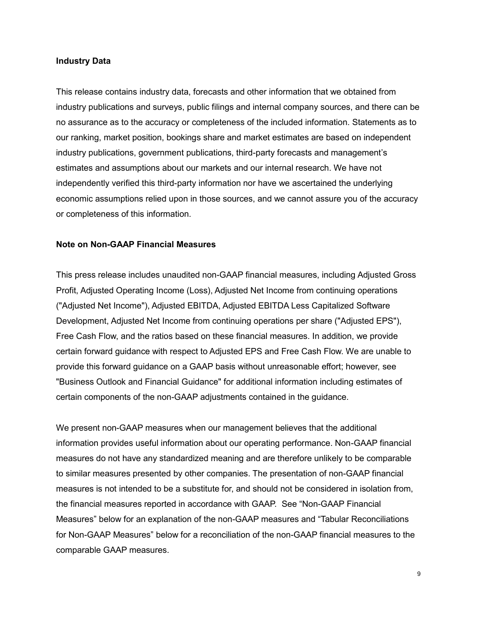#### **Industry Data**

This release contains industry data, forecasts and other information that we obtained from industry publications and surveys, public filings and internal company sources, and there can be no assurance as to the accuracy or completeness of the included information. Statements as to our ranking, market position, bookings share and market estimates are based on independent industry publications, government publications, third-party forecasts and management's estimates and assumptions about our markets and our internal research. We have not independently verified this third-party information nor have we ascertained the underlying economic assumptions relied upon in those sources, and we cannot assure you of the accuracy or completeness of this information.

#### **Note on Non-GAAP Financial Measures**

This press release includes unaudited non-GAAP financial measures, including Adjusted Gross Profit, Adjusted Operating Income (Loss), Adjusted Net Income from continuing operations ("Adjusted Net Income"), Adjusted EBITDA, Adjusted EBITDA Less Capitalized Software Development, Adjusted Net Income from continuing operations per share ("Adjusted EPS"), Free Cash Flow, and the ratios based on these financial measures. In addition, we provide certain forward guidance with respect to Adjusted EPS and Free Cash Flow. We are unable to provide this forward guidance on a GAAP basis without unreasonable effort; however, see "Business Outlook and Financial Guidance" for additional information including estimates of certain components of the non-GAAP adjustments contained in the guidance.

We present non-GAAP measures when our management believes that the additional information provides useful information about our operating performance. Non-GAAP financial measures do not have any standardized meaning and are therefore unlikely to be comparable to similar measures presented by other companies. The presentation of non-GAAP financial measures is not intended to be a substitute for, and should not be considered in isolation from, the financial measures reported in accordance with GAAP.See "Non-GAAP Financial Measures" below for an explanation of the non-GAAP measures and "Tabular Reconciliations for Non-GAAP Measures" below for a reconciliation of the non-GAAP financial measures to the comparable GAAP measures.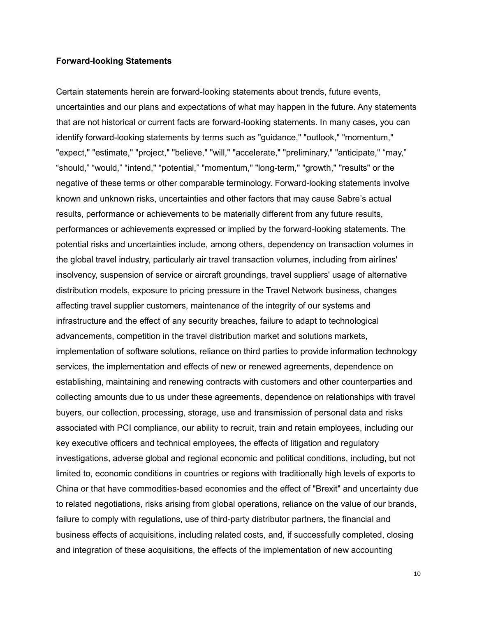#### **Forward-looking Statements**

Certain statements herein are forward-looking statements about trends, future events, uncertainties and our plans and expectations of what may happen in the future. Any statements that are not historical or current facts are forward-looking statements. In many cases, you can identify forward-looking statements by terms such as "guidance," "outlook," "momentum," "expect," "estimate," "project," "believe," "will," "accelerate," "preliminary," "anticipate," "may," "should," "would," "intend," "potential," "momentum," "long-term," "growth," "results" or the negative of these terms or other comparable terminology. Forward-looking statements involve known and unknown risks, uncertainties and other factors that may cause Sabre's actual results, performance or achievements to be materially different from any future results, performances or achievements expressed or implied by the forward-looking statements. The potential risks and uncertainties include, among others, dependency on transaction volumes in the global travel industry, particularly air travel transaction volumes, including from airlines' insolvency, suspension of service or aircraft groundings, travel suppliers' usage of alternative distribution models, exposure to pricing pressure in the Travel Network business, changes affecting travel supplier customers, maintenance of the integrity of our systems and infrastructure and the effect of any security breaches, failure to adapt to technological advancements, competition in the travel distribution market and solutions markets, implementation of software solutions, reliance on third parties to provide information technology services, the implementation and effects of new or renewed agreements, dependence on establishing, maintaining and renewing contracts with customers and other counterparties and collecting amounts due to us under these agreements, dependence on relationships with travel buyers, our collection, processing, storage, use and transmission of personal data and risks associated with PCI compliance, our ability to recruit, train and retain employees, including our key executive officers and technical employees, the effects of litigation and regulatory investigations, adverse global and regional economic and political conditions, including, but not limited to, economic conditions in countries or regions with traditionally high levels of exports to China or that have commodities-based economies and the effect of "Brexit" and uncertainty due to related negotiations, risks arising from global operations, reliance on the value of our brands, failure to comply with regulations, use of third-party distributor partners, the financial and business effects of acquisitions, including related costs, and, if successfully completed, closing and integration of these acquisitions, the effects of the implementation of new accounting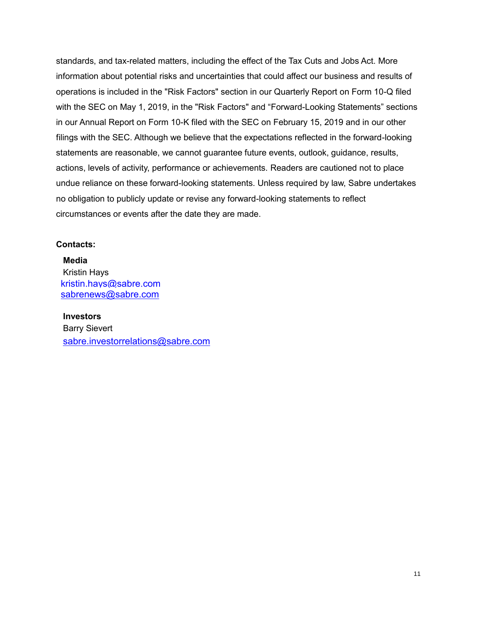standards, and tax-related matters, including the effect of the Tax Cuts and Jobs Act. More information about potential risks and uncertainties that could affect our business and results of operations is included in the "Risk Factors" section in our Quarterly Report on Form 10-Q filed with the SEC on May 1, 2019, in the "Risk Factors" and "Forward-Looking Statements" sections in our Annual Report on Form 10-K filed with the SEC on February 15, 2019 and in our other filings with the SEC. Although we believe that the expectations reflected in the forward-looking statements are reasonable, we cannot guarantee future events, outlook, guidance, results, actions, levels of activity, performance or achievements. Readers are cautioned not to place undue reliance on these forward-looking statements. Unless required by law, Sabre undertakes no obligation to publicly update or revise any forward-looking statements to reflect circumstances or events after the date they are made.

#### **Contacts:**

**Media** Kristin Hays kristin.hays@sabre.com sabrenews@sabre.com

**Investors** Barry Sievert sabre.investorrelations@sabre.com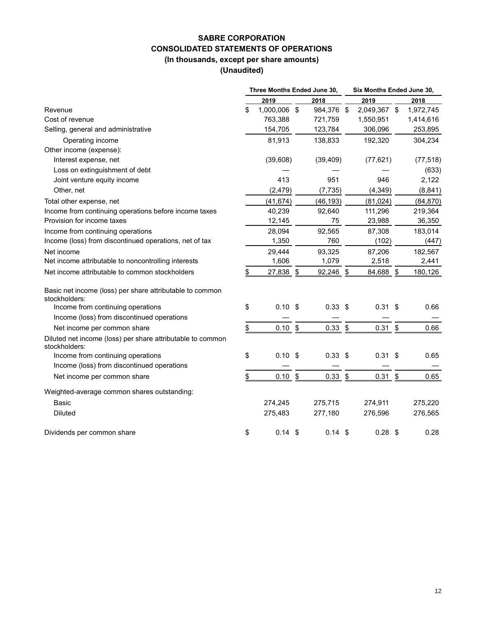## **SABRE CORPORATION CONSOLIDATED STATEMENTS OF OPERATIONS (In thousands, except per share amounts)**

**(Unaudited)**

|                                                                             |               | Three Months Ended June 30, |            |               |              | Six Months Ended June 30, |           |  |
|-----------------------------------------------------------------------------|---------------|-----------------------------|------------|---------------|--------------|---------------------------|-----------|--|
|                                                                             |               | 2019                        | 2018       |               | 2019         |                           | 2018      |  |
| Revenue                                                                     | \$            | 1,000,006 \$                | 984,376 \$ |               | 2,049,367 \$ |                           | 1,972,745 |  |
| Cost of revenue                                                             |               | 763,388                     | 721,759    |               | 1,550,951    |                           | 1,414,616 |  |
| Selling, general and administrative                                         |               | 154,705                     | 123,784    |               | 306,096      |                           | 253,895   |  |
| Operating income                                                            |               | 81,913                      | 138,833    |               | 192,320      |                           | 304,234   |  |
| Other income (expense):                                                     |               |                             |            |               |              |                           |           |  |
| Interest expense, net                                                       |               | (39,608)                    | (39, 409)  |               | (77, 621)    |                           | (77, 518) |  |
| Loss on extinguishment of debt                                              |               |                             |            |               |              |                           | (633)     |  |
| Joint venture equity income                                                 |               | 413                         | 951        |               | 946          |                           | 2,122     |  |
| Other, net                                                                  |               | (2, 479)                    | (7, 735)   |               | (4, 349)     |                           | (8, 841)  |  |
| Total other expense, net                                                    |               | (41, 674)                   | (46, 193)  |               | (81, 024)    |                           | (84, 870) |  |
| Income from continuing operations before income taxes                       |               | 40,239                      | 92,640     |               | 111,296      |                           | 219,364   |  |
| Provision for income taxes                                                  |               | 12,145                      | 75         |               | 23,988       |                           | 36,350    |  |
| Income from continuing operations                                           |               | 28,094                      | 92,565     |               | 87,308       |                           | 183,014   |  |
| Income (loss) from discontinued operations, net of tax                      |               | 1,350                       | 760        |               | (102)        |                           | (447)     |  |
| Net income                                                                  |               | 29,444                      | 93,325     |               | 87,206       |                           | 182,567   |  |
| Net income attributable to noncontrolling interests                         |               | 1,606                       | 1,079      |               | 2,518        |                           | 2,441     |  |
| Net income attributable to common stockholders                              | \$            | 27,838 \$                   | 92,246     | \$            | 84,688       | \$                        | 180,126   |  |
| Basic net income (loss) per share attributable to common<br>stockholders:   |               |                             |            |               |              |                           |           |  |
| Income from continuing operations                                           | \$            | $0.10$ \$                   | $0.33$ \$  |               | $0.31$ \$    |                           | 0.66      |  |
| Income (loss) from discontinued operations                                  |               |                             |            |               |              |                           |           |  |
| Net income per common share                                                 | \$            | $0.10$ \$                   | 0.33       | $\frac{6}{5}$ | $0.31$ \$    |                           | 0.66      |  |
| Diluted net income (loss) per share attributable to common<br>stockholders: |               |                             |            |               |              |                           |           |  |
| Income from continuing operations                                           | \$            | 0.10 <sup>5</sup>           | $0.33$ \$  |               | 0.31         | \$                        | 0.65      |  |
| Income (loss) from discontinued operations                                  |               |                             |            |               |              |                           |           |  |
| Net income per common share                                                 | $\frac{1}{2}$ | $0.10$ \$                   | 0.33       | \$            | $0.31$ \$    |                           | 0.65      |  |
| Weighted-average common shares outstanding:                                 |               |                             |            |               |              |                           |           |  |
| Basic                                                                       |               | 274,245                     | 275,715    |               | 274,911      |                           | 275,220   |  |
| <b>Diluted</b>                                                              |               | 275,483                     | 277,180    |               | 276,596      |                           | 276,565   |  |
| Dividends per common share                                                  | \$            | $0.14 \text{ } $$           | 0.14       | -\$           | 0.28         | \$                        | 0.28      |  |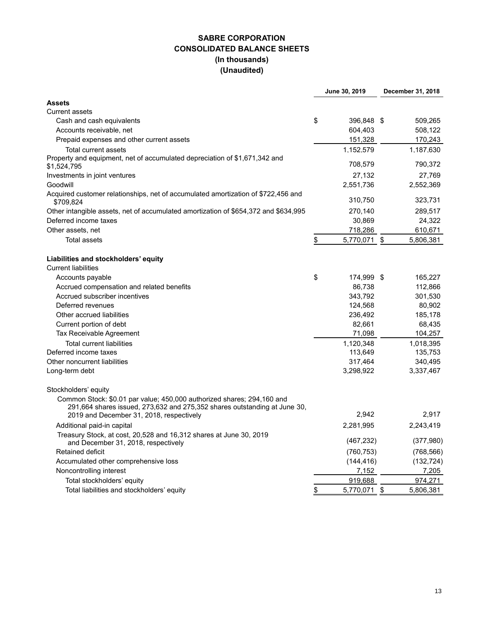## **SABRE CORPORATION CONSOLIDATED BALANCE SHEETS (In thousands) (Unaudited)**

|                                                                                                                                                     | June 30, 2019      | December 31, 2018 |
|-----------------------------------------------------------------------------------------------------------------------------------------------------|--------------------|-------------------|
| <b>Assets</b>                                                                                                                                       |                    |                   |
| <b>Current assets</b>                                                                                                                               |                    |                   |
| Cash and cash equivalents                                                                                                                           | \$<br>396,848 \$   | 509,265           |
| Accounts receivable, net                                                                                                                            | 604,403            | 508,122           |
| Prepaid expenses and other current assets                                                                                                           | 151,328            | 170,243           |
| Total current assets                                                                                                                                | 1,152,579          | 1,187,630         |
| Property and equipment, net of accumulated depreciation of \$1,671,342 and<br>\$1,524,795                                                           | 708,579            | 790,372           |
| Investments in joint ventures                                                                                                                       | 27,132             | 27,769            |
| Goodwill                                                                                                                                            | 2,551,736          | 2,552,369         |
| Acquired customer relationships, net of accumulated amortization of \$722,456 and<br>\$709,824                                                      | 310,750            | 323,731           |
| Other intangible assets, net of accumulated amortization of \$654,372 and \$634,995                                                                 | 270,140            | 289,517           |
| Deferred income taxes                                                                                                                               | 30,869             | 24,322            |
| Other assets, net                                                                                                                                   | 718,286            | 610,671           |
| <b>Total assets</b>                                                                                                                                 | \$<br>5,770,071 \$ | 5,806,381         |
| Liabilities and stockholders' equity                                                                                                                |                    |                   |
| <b>Current liabilities</b>                                                                                                                          |                    |                   |
| Accounts payable                                                                                                                                    | \$<br>174,999 \$   | 165,227           |
| Accrued compensation and related benefits                                                                                                           | 86,738             | 112,866           |
| Accrued subscriber incentives                                                                                                                       | 343,792            | 301,530           |
| Deferred revenues                                                                                                                                   | 124,568            | 80,902            |
| Other accrued liabilities                                                                                                                           | 236,492            | 185,178           |
| Current portion of debt                                                                                                                             | 82,661             | 68,435            |
| Tax Receivable Agreement                                                                                                                            | 71,098             | 104,257           |
| <b>Total current liabilities</b>                                                                                                                    | 1,120,348          | 1,018,395         |
| Deferred income taxes                                                                                                                               | 113,649            | 135,753           |
| Other noncurrent liabilities                                                                                                                        | 317,464            | 340,495           |
| Long-term debt                                                                                                                                      | 3,298,922          | 3,337,467         |
| Stockholders' equity                                                                                                                                |                    |                   |
| Common Stock: \$0.01 par value; 450,000 authorized shares; 294,160 and<br>291,664 shares issued, 273,632 and 275,352 shares outstanding at June 30, |                    |                   |
| 2019 and December 31, 2018, respectively                                                                                                            | 2,942              | 2,917             |
| Additional paid-in capital                                                                                                                          | 2,281,995          | 2,243,419         |
| Treasury Stock, at cost, 20,528 and 16,312 shares at June 30, 2019<br>and December 31, 2018, respectively                                           | (467, 232)         | (377, 980)        |
| Retained deficit                                                                                                                                    | (760, 753)         | (768, 566)        |
| Accumulated other comprehensive loss                                                                                                                | (144, 416)         | (132, 724)        |
| Noncontrolling interest                                                                                                                             | 7,152              | 7,205             |
| Total stockholders' equity                                                                                                                          | 919,688            | 974,271           |
| Total liabilities and stockholders' equity                                                                                                          | \$<br>5,770,071 \$ | 5,806,381         |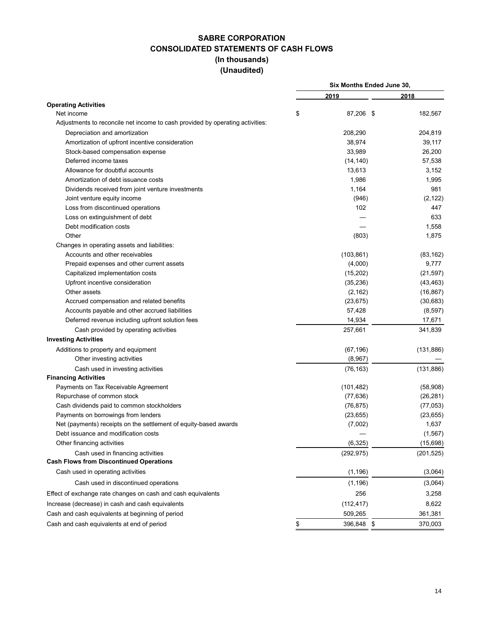## **SABRE CORPORATION CONSOLIDATED STATEMENTS OF CASH FLOWS (In thousands) (Unaudited)**

| 2019<br>2018<br><b>Operating Activities</b><br>\$<br>87,206 \$<br>182,567<br>Net income<br>Adjustments to reconcile net income to cash provided by operating activities:<br>Depreciation and amortization<br>208,290<br>204,819<br>Amortization of upfront incentive consideration<br>38,974<br>39,117<br>33,989<br>26,200<br>Stock-based compensation expense<br>Deferred income taxes<br>57,538<br>(14, 140)<br>Allowance for doubtful accounts<br>13,613<br>3,152<br>Amortization of debt issuance costs<br>1,986<br>1,995<br>1,164<br>981<br>Dividends received from joint venture investments<br>Joint venture equity income<br>(946)<br>(2, 122)<br>Loss from discontinued operations<br>102<br>447<br>633<br>Loss on extinguishment of debt<br>Debt modification costs<br>1,558<br>Other<br>(803)<br>1,875<br>Changes in operating assets and liabilities:<br>Accounts and other receivables<br>(103, 861)<br>(83, 162)<br>(4,000)<br>Prepaid expenses and other current assets<br>9,777<br>(15, 202)<br>Capitalized implementation costs<br>(21, 597)<br>(35, 236)<br>Upfront incentive consideration<br>(43, 463)<br>Other assets<br>(2, 162)<br>(16, 867)<br>Accrued compensation and related benefits<br>(23, 675)<br>(30, 683)<br>57,428<br>(8, 597)<br>Accounts payable and other accrued liabilities<br>14,934<br>17,671<br>Deferred revenue including upfront solution fees<br>257,661<br>341,839<br>Cash provided by operating activities<br><b>Investing Activities</b><br>Additions to property and equipment<br>(67, 196)<br>(131, 886)<br>Other investing activities<br>(8,967)<br>(131, 886)<br>Cash used in investing activities<br>(76, 163)<br><b>Financing Activities</b><br>Payments on Tax Receivable Agreement<br>(101, 482)<br>(58,908)<br>Repurchase of common stock<br>(77, 636)<br>(26, 281)<br>Cash dividends paid to common stockholders<br>(76, 875)<br>(77, 053)<br>Payments on borrowings from lenders<br>(23, 655)<br>(23, 655)<br>(7,002)<br>1,637<br>Net (payments) receipts on the settlement of equity-based awards<br>Debt issuance and modification costs<br>Other financing activities<br>(6, 325)<br>(15,698)<br>Cash used in financing activities<br>(292, 975)<br>(201, 525)<br><b>Cash Flows from Discontinued Operations</b><br>Cash used in operating activities<br>(1, 196)<br>(3,064)<br>Cash used in discontinued operations<br>(1, 196)<br>(3,064)<br>256<br>Effect of exchange rate changes on cash and cash equivalents<br>3,258<br>Increase (decrease) in cash and cash equivalents<br>(112, 417)<br>8,622<br>Cash and cash equivalents at beginning of period<br>509,265<br>361,381<br>Cash and cash equivalents at end of period<br>\$<br>396,848 \$<br>370,003 |  | Six Months Ended June 30, |  |  |  |  |
|-----------------------------------------------------------------------------------------------------------------------------------------------------------------------------------------------------------------------------------------------------------------------------------------------------------------------------------------------------------------------------------------------------------------------------------------------------------------------------------------------------------------------------------------------------------------------------------------------------------------------------------------------------------------------------------------------------------------------------------------------------------------------------------------------------------------------------------------------------------------------------------------------------------------------------------------------------------------------------------------------------------------------------------------------------------------------------------------------------------------------------------------------------------------------------------------------------------------------------------------------------------------------------------------------------------------------------------------------------------------------------------------------------------------------------------------------------------------------------------------------------------------------------------------------------------------------------------------------------------------------------------------------------------------------------------------------------------------------------------------------------------------------------------------------------------------------------------------------------------------------------------------------------------------------------------------------------------------------------------------------------------------------------------------------------------------------------------------------------------------------------------------------------------------------------------------------------------------------------------------------------------------------------------------------------------------------------------------------------------------------------------------------------------------------------------------------------------------------------------------------------------------------------------------------------------------------------------------------------------------------------------------------------------------------------------------------------------------------------|--|---------------------------|--|--|--|--|
|                                                                                                                                                                                                                                                                                                                                                                                                                                                                                                                                                                                                                                                                                                                                                                                                                                                                                                                                                                                                                                                                                                                                                                                                                                                                                                                                                                                                                                                                                                                                                                                                                                                                                                                                                                                                                                                                                                                                                                                                                                                                                                                                                                                                                                                                                                                                                                                                                                                                                                                                                                                                                                                                                                                             |  |                           |  |  |  |  |
|                                                                                                                                                                                                                                                                                                                                                                                                                                                                                                                                                                                                                                                                                                                                                                                                                                                                                                                                                                                                                                                                                                                                                                                                                                                                                                                                                                                                                                                                                                                                                                                                                                                                                                                                                                                                                                                                                                                                                                                                                                                                                                                                                                                                                                                                                                                                                                                                                                                                                                                                                                                                                                                                                                                             |  |                           |  |  |  |  |
|                                                                                                                                                                                                                                                                                                                                                                                                                                                                                                                                                                                                                                                                                                                                                                                                                                                                                                                                                                                                                                                                                                                                                                                                                                                                                                                                                                                                                                                                                                                                                                                                                                                                                                                                                                                                                                                                                                                                                                                                                                                                                                                                                                                                                                                                                                                                                                                                                                                                                                                                                                                                                                                                                                                             |  |                           |  |  |  |  |
|                                                                                                                                                                                                                                                                                                                                                                                                                                                                                                                                                                                                                                                                                                                                                                                                                                                                                                                                                                                                                                                                                                                                                                                                                                                                                                                                                                                                                                                                                                                                                                                                                                                                                                                                                                                                                                                                                                                                                                                                                                                                                                                                                                                                                                                                                                                                                                                                                                                                                                                                                                                                                                                                                                                             |  |                           |  |  |  |  |
|                                                                                                                                                                                                                                                                                                                                                                                                                                                                                                                                                                                                                                                                                                                                                                                                                                                                                                                                                                                                                                                                                                                                                                                                                                                                                                                                                                                                                                                                                                                                                                                                                                                                                                                                                                                                                                                                                                                                                                                                                                                                                                                                                                                                                                                                                                                                                                                                                                                                                                                                                                                                                                                                                                                             |  |                           |  |  |  |  |
|                                                                                                                                                                                                                                                                                                                                                                                                                                                                                                                                                                                                                                                                                                                                                                                                                                                                                                                                                                                                                                                                                                                                                                                                                                                                                                                                                                                                                                                                                                                                                                                                                                                                                                                                                                                                                                                                                                                                                                                                                                                                                                                                                                                                                                                                                                                                                                                                                                                                                                                                                                                                                                                                                                                             |  |                           |  |  |  |  |
|                                                                                                                                                                                                                                                                                                                                                                                                                                                                                                                                                                                                                                                                                                                                                                                                                                                                                                                                                                                                                                                                                                                                                                                                                                                                                                                                                                                                                                                                                                                                                                                                                                                                                                                                                                                                                                                                                                                                                                                                                                                                                                                                                                                                                                                                                                                                                                                                                                                                                                                                                                                                                                                                                                                             |  |                           |  |  |  |  |
|                                                                                                                                                                                                                                                                                                                                                                                                                                                                                                                                                                                                                                                                                                                                                                                                                                                                                                                                                                                                                                                                                                                                                                                                                                                                                                                                                                                                                                                                                                                                                                                                                                                                                                                                                                                                                                                                                                                                                                                                                                                                                                                                                                                                                                                                                                                                                                                                                                                                                                                                                                                                                                                                                                                             |  |                           |  |  |  |  |
|                                                                                                                                                                                                                                                                                                                                                                                                                                                                                                                                                                                                                                                                                                                                                                                                                                                                                                                                                                                                                                                                                                                                                                                                                                                                                                                                                                                                                                                                                                                                                                                                                                                                                                                                                                                                                                                                                                                                                                                                                                                                                                                                                                                                                                                                                                                                                                                                                                                                                                                                                                                                                                                                                                                             |  |                           |  |  |  |  |
|                                                                                                                                                                                                                                                                                                                                                                                                                                                                                                                                                                                                                                                                                                                                                                                                                                                                                                                                                                                                                                                                                                                                                                                                                                                                                                                                                                                                                                                                                                                                                                                                                                                                                                                                                                                                                                                                                                                                                                                                                                                                                                                                                                                                                                                                                                                                                                                                                                                                                                                                                                                                                                                                                                                             |  |                           |  |  |  |  |
|                                                                                                                                                                                                                                                                                                                                                                                                                                                                                                                                                                                                                                                                                                                                                                                                                                                                                                                                                                                                                                                                                                                                                                                                                                                                                                                                                                                                                                                                                                                                                                                                                                                                                                                                                                                                                                                                                                                                                                                                                                                                                                                                                                                                                                                                                                                                                                                                                                                                                                                                                                                                                                                                                                                             |  |                           |  |  |  |  |
|                                                                                                                                                                                                                                                                                                                                                                                                                                                                                                                                                                                                                                                                                                                                                                                                                                                                                                                                                                                                                                                                                                                                                                                                                                                                                                                                                                                                                                                                                                                                                                                                                                                                                                                                                                                                                                                                                                                                                                                                                                                                                                                                                                                                                                                                                                                                                                                                                                                                                                                                                                                                                                                                                                                             |  |                           |  |  |  |  |
| (1, 567)                                                                                                                                                                                                                                                                                                                                                                                                                                                                                                                                                                                                                                                                                                                                                                                                                                                                                                                                                                                                                                                                                                                                                                                                                                                                                                                                                                                                                                                                                                                                                                                                                                                                                                                                                                                                                                                                                                                                                                                                                                                                                                                                                                                                                                                                                                                                                                                                                                                                                                                                                                                                                                                                                                                    |  |                           |  |  |  |  |
|                                                                                                                                                                                                                                                                                                                                                                                                                                                                                                                                                                                                                                                                                                                                                                                                                                                                                                                                                                                                                                                                                                                                                                                                                                                                                                                                                                                                                                                                                                                                                                                                                                                                                                                                                                                                                                                                                                                                                                                                                                                                                                                                                                                                                                                                                                                                                                                                                                                                                                                                                                                                                                                                                                                             |  |                           |  |  |  |  |
|                                                                                                                                                                                                                                                                                                                                                                                                                                                                                                                                                                                                                                                                                                                                                                                                                                                                                                                                                                                                                                                                                                                                                                                                                                                                                                                                                                                                                                                                                                                                                                                                                                                                                                                                                                                                                                                                                                                                                                                                                                                                                                                                                                                                                                                                                                                                                                                                                                                                                                                                                                                                                                                                                                                             |  |                           |  |  |  |  |
|                                                                                                                                                                                                                                                                                                                                                                                                                                                                                                                                                                                                                                                                                                                                                                                                                                                                                                                                                                                                                                                                                                                                                                                                                                                                                                                                                                                                                                                                                                                                                                                                                                                                                                                                                                                                                                                                                                                                                                                                                                                                                                                                                                                                                                                                                                                                                                                                                                                                                                                                                                                                                                                                                                                             |  |                           |  |  |  |  |
|                                                                                                                                                                                                                                                                                                                                                                                                                                                                                                                                                                                                                                                                                                                                                                                                                                                                                                                                                                                                                                                                                                                                                                                                                                                                                                                                                                                                                                                                                                                                                                                                                                                                                                                                                                                                                                                                                                                                                                                                                                                                                                                                                                                                                                                                                                                                                                                                                                                                                                                                                                                                                                                                                                                             |  |                           |  |  |  |  |
|                                                                                                                                                                                                                                                                                                                                                                                                                                                                                                                                                                                                                                                                                                                                                                                                                                                                                                                                                                                                                                                                                                                                                                                                                                                                                                                                                                                                                                                                                                                                                                                                                                                                                                                                                                                                                                                                                                                                                                                                                                                                                                                                                                                                                                                                                                                                                                                                                                                                                                                                                                                                                                                                                                                             |  |                           |  |  |  |  |
|                                                                                                                                                                                                                                                                                                                                                                                                                                                                                                                                                                                                                                                                                                                                                                                                                                                                                                                                                                                                                                                                                                                                                                                                                                                                                                                                                                                                                                                                                                                                                                                                                                                                                                                                                                                                                                                                                                                                                                                                                                                                                                                                                                                                                                                                                                                                                                                                                                                                                                                                                                                                                                                                                                                             |  |                           |  |  |  |  |
|                                                                                                                                                                                                                                                                                                                                                                                                                                                                                                                                                                                                                                                                                                                                                                                                                                                                                                                                                                                                                                                                                                                                                                                                                                                                                                                                                                                                                                                                                                                                                                                                                                                                                                                                                                                                                                                                                                                                                                                                                                                                                                                                                                                                                                                                                                                                                                                                                                                                                                                                                                                                                                                                                                                             |  |                           |  |  |  |  |
|                                                                                                                                                                                                                                                                                                                                                                                                                                                                                                                                                                                                                                                                                                                                                                                                                                                                                                                                                                                                                                                                                                                                                                                                                                                                                                                                                                                                                                                                                                                                                                                                                                                                                                                                                                                                                                                                                                                                                                                                                                                                                                                                                                                                                                                                                                                                                                                                                                                                                                                                                                                                                                                                                                                             |  |                           |  |  |  |  |
|                                                                                                                                                                                                                                                                                                                                                                                                                                                                                                                                                                                                                                                                                                                                                                                                                                                                                                                                                                                                                                                                                                                                                                                                                                                                                                                                                                                                                                                                                                                                                                                                                                                                                                                                                                                                                                                                                                                                                                                                                                                                                                                                                                                                                                                                                                                                                                                                                                                                                                                                                                                                                                                                                                                             |  |                           |  |  |  |  |
|                                                                                                                                                                                                                                                                                                                                                                                                                                                                                                                                                                                                                                                                                                                                                                                                                                                                                                                                                                                                                                                                                                                                                                                                                                                                                                                                                                                                                                                                                                                                                                                                                                                                                                                                                                                                                                                                                                                                                                                                                                                                                                                                                                                                                                                                                                                                                                                                                                                                                                                                                                                                                                                                                                                             |  |                           |  |  |  |  |
|                                                                                                                                                                                                                                                                                                                                                                                                                                                                                                                                                                                                                                                                                                                                                                                                                                                                                                                                                                                                                                                                                                                                                                                                                                                                                                                                                                                                                                                                                                                                                                                                                                                                                                                                                                                                                                                                                                                                                                                                                                                                                                                                                                                                                                                                                                                                                                                                                                                                                                                                                                                                                                                                                                                             |  |                           |  |  |  |  |
|                                                                                                                                                                                                                                                                                                                                                                                                                                                                                                                                                                                                                                                                                                                                                                                                                                                                                                                                                                                                                                                                                                                                                                                                                                                                                                                                                                                                                                                                                                                                                                                                                                                                                                                                                                                                                                                                                                                                                                                                                                                                                                                                                                                                                                                                                                                                                                                                                                                                                                                                                                                                                                                                                                                             |  |                           |  |  |  |  |
|                                                                                                                                                                                                                                                                                                                                                                                                                                                                                                                                                                                                                                                                                                                                                                                                                                                                                                                                                                                                                                                                                                                                                                                                                                                                                                                                                                                                                                                                                                                                                                                                                                                                                                                                                                                                                                                                                                                                                                                                                                                                                                                                                                                                                                                                                                                                                                                                                                                                                                                                                                                                                                                                                                                             |  |                           |  |  |  |  |
|                                                                                                                                                                                                                                                                                                                                                                                                                                                                                                                                                                                                                                                                                                                                                                                                                                                                                                                                                                                                                                                                                                                                                                                                                                                                                                                                                                                                                                                                                                                                                                                                                                                                                                                                                                                                                                                                                                                                                                                                                                                                                                                                                                                                                                                                                                                                                                                                                                                                                                                                                                                                                                                                                                                             |  |                           |  |  |  |  |
|                                                                                                                                                                                                                                                                                                                                                                                                                                                                                                                                                                                                                                                                                                                                                                                                                                                                                                                                                                                                                                                                                                                                                                                                                                                                                                                                                                                                                                                                                                                                                                                                                                                                                                                                                                                                                                                                                                                                                                                                                                                                                                                                                                                                                                                                                                                                                                                                                                                                                                                                                                                                                                                                                                                             |  |                           |  |  |  |  |
|                                                                                                                                                                                                                                                                                                                                                                                                                                                                                                                                                                                                                                                                                                                                                                                                                                                                                                                                                                                                                                                                                                                                                                                                                                                                                                                                                                                                                                                                                                                                                                                                                                                                                                                                                                                                                                                                                                                                                                                                                                                                                                                                                                                                                                                                                                                                                                                                                                                                                                                                                                                                                                                                                                                             |  |                           |  |  |  |  |
|                                                                                                                                                                                                                                                                                                                                                                                                                                                                                                                                                                                                                                                                                                                                                                                                                                                                                                                                                                                                                                                                                                                                                                                                                                                                                                                                                                                                                                                                                                                                                                                                                                                                                                                                                                                                                                                                                                                                                                                                                                                                                                                                                                                                                                                                                                                                                                                                                                                                                                                                                                                                                                                                                                                             |  |                           |  |  |  |  |
|                                                                                                                                                                                                                                                                                                                                                                                                                                                                                                                                                                                                                                                                                                                                                                                                                                                                                                                                                                                                                                                                                                                                                                                                                                                                                                                                                                                                                                                                                                                                                                                                                                                                                                                                                                                                                                                                                                                                                                                                                                                                                                                                                                                                                                                                                                                                                                                                                                                                                                                                                                                                                                                                                                                             |  |                           |  |  |  |  |
|                                                                                                                                                                                                                                                                                                                                                                                                                                                                                                                                                                                                                                                                                                                                                                                                                                                                                                                                                                                                                                                                                                                                                                                                                                                                                                                                                                                                                                                                                                                                                                                                                                                                                                                                                                                                                                                                                                                                                                                                                                                                                                                                                                                                                                                                                                                                                                                                                                                                                                                                                                                                                                                                                                                             |  |                           |  |  |  |  |
|                                                                                                                                                                                                                                                                                                                                                                                                                                                                                                                                                                                                                                                                                                                                                                                                                                                                                                                                                                                                                                                                                                                                                                                                                                                                                                                                                                                                                                                                                                                                                                                                                                                                                                                                                                                                                                                                                                                                                                                                                                                                                                                                                                                                                                                                                                                                                                                                                                                                                                                                                                                                                                                                                                                             |  |                           |  |  |  |  |
|                                                                                                                                                                                                                                                                                                                                                                                                                                                                                                                                                                                                                                                                                                                                                                                                                                                                                                                                                                                                                                                                                                                                                                                                                                                                                                                                                                                                                                                                                                                                                                                                                                                                                                                                                                                                                                                                                                                                                                                                                                                                                                                                                                                                                                                                                                                                                                                                                                                                                                                                                                                                                                                                                                                             |  |                           |  |  |  |  |
|                                                                                                                                                                                                                                                                                                                                                                                                                                                                                                                                                                                                                                                                                                                                                                                                                                                                                                                                                                                                                                                                                                                                                                                                                                                                                                                                                                                                                                                                                                                                                                                                                                                                                                                                                                                                                                                                                                                                                                                                                                                                                                                                                                                                                                                                                                                                                                                                                                                                                                                                                                                                                                                                                                                             |  |                           |  |  |  |  |
|                                                                                                                                                                                                                                                                                                                                                                                                                                                                                                                                                                                                                                                                                                                                                                                                                                                                                                                                                                                                                                                                                                                                                                                                                                                                                                                                                                                                                                                                                                                                                                                                                                                                                                                                                                                                                                                                                                                                                                                                                                                                                                                                                                                                                                                                                                                                                                                                                                                                                                                                                                                                                                                                                                                             |  |                           |  |  |  |  |
|                                                                                                                                                                                                                                                                                                                                                                                                                                                                                                                                                                                                                                                                                                                                                                                                                                                                                                                                                                                                                                                                                                                                                                                                                                                                                                                                                                                                                                                                                                                                                                                                                                                                                                                                                                                                                                                                                                                                                                                                                                                                                                                                                                                                                                                                                                                                                                                                                                                                                                                                                                                                                                                                                                                             |  |                           |  |  |  |  |
|                                                                                                                                                                                                                                                                                                                                                                                                                                                                                                                                                                                                                                                                                                                                                                                                                                                                                                                                                                                                                                                                                                                                                                                                                                                                                                                                                                                                                                                                                                                                                                                                                                                                                                                                                                                                                                                                                                                                                                                                                                                                                                                                                                                                                                                                                                                                                                                                                                                                                                                                                                                                                                                                                                                             |  |                           |  |  |  |  |
|                                                                                                                                                                                                                                                                                                                                                                                                                                                                                                                                                                                                                                                                                                                                                                                                                                                                                                                                                                                                                                                                                                                                                                                                                                                                                                                                                                                                                                                                                                                                                                                                                                                                                                                                                                                                                                                                                                                                                                                                                                                                                                                                                                                                                                                                                                                                                                                                                                                                                                                                                                                                                                                                                                                             |  |                           |  |  |  |  |
|                                                                                                                                                                                                                                                                                                                                                                                                                                                                                                                                                                                                                                                                                                                                                                                                                                                                                                                                                                                                                                                                                                                                                                                                                                                                                                                                                                                                                                                                                                                                                                                                                                                                                                                                                                                                                                                                                                                                                                                                                                                                                                                                                                                                                                                                                                                                                                                                                                                                                                                                                                                                                                                                                                                             |  |                           |  |  |  |  |
|                                                                                                                                                                                                                                                                                                                                                                                                                                                                                                                                                                                                                                                                                                                                                                                                                                                                                                                                                                                                                                                                                                                                                                                                                                                                                                                                                                                                                                                                                                                                                                                                                                                                                                                                                                                                                                                                                                                                                                                                                                                                                                                                                                                                                                                                                                                                                                                                                                                                                                                                                                                                                                                                                                                             |  |                           |  |  |  |  |
|                                                                                                                                                                                                                                                                                                                                                                                                                                                                                                                                                                                                                                                                                                                                                                                                                                                                                                                                                                                                                                                                                                                                                                                                                                                                                                                                                                                                                                                                                                                                                                                                                                                                                                                                                                                                                                                                                                                                                                                                                                                                                                                                                                                                                                                                                                                                                                                                                                                                                                                                                                                                                                                                                                                             |  |                           |  |  |  |  |
|                                                                                                                                                                                                                                                                                                                                                                                                                                                                                                                                                                                                                                                                                                                                                                                                                                                                                                                                                                                                                                                                                                                                                                                                                                                                                                                                                                                                                                                                                                                                                                                                                                                                                                                                                                                                                                                                                                                                                                                                                                                                                                                                                                                                                                                                                                                                                                                                                                                                                                                                                                                                                                                                                                                             |  |                           |  |  |  |  |
|                                                                                                                                                                                                                                                                                                                                                                                                                                                                                                                                                                                                                                                                                                                                                                                                                                                                                                                                                                                                                                                                                                                                                                                                                                                                                                                                                                                                                                                                                                                                                                                                                                                                                                                                                                                                                                                                                                                                                                                                                                                                                                                                                                                                                                                                                                                                                                                                                                                                                                                                                                                                                                                                                                                             |  |                           |  |  |  |  |
|                                                                                                                                                                                                                                                                                                                                                                                                                                                                                                                                                                                                                                                                                                                                                                                                                                                                                                                                                                                                                                                                                                                                                                                                                                                                                                                                                                                                                                                                                                                                                                                                                                                                                                                                                                                                                                                                                                                                                                                                                                                                                                                                                                                                                                                                                                                                                                                                                                                                                                                                                                                                                                                                                                                             |  |                           |  |  |  |  |
|                                                                                                                                                                                                                                                                                                                                                                                                                                                                                                                                                                                                                                                                                                                                                                                                                                                                                                                                                                                                                                                                                                                                                                                                                                                                                                                                                                                                                                                                                                                                                                                                                                                                                                                                                                                                                                                                                                                                                                                                                                                                                                                                                                                                                                                                                                                                                                                                                                                                                                                                                                                                                                                                                                                             |  |                           |  |  |  |  |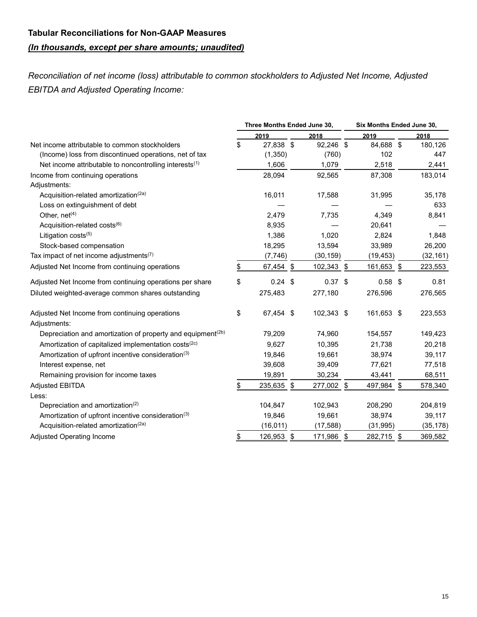# **Tabular Reconciliations for Non-GAAP Measures** *(In thousands, except per share amounts; unaudited)*

*Reconciliation of net income (loss) attributable to common stockholders to Adjusted Net Income, Adjusted EBITDA and Adjusted Operating Income:*

|                                                                         | Three Months Ended June 30, |            | Six Months Ended June 30, |           |
|-------------------------------------------------------------------------|-----------------------------|------------|---------------------------|-----------|
|                                                                         | 2019                        | 2018       | 2019                      | 2018      |
| Net income attributable to common stockholders                          | \$<br>27,838 \$             | 92,246 \$  | 84,688 \$                 | 180,126   |
| (Income) loss from discontinued operations, net of tax                  | (1,350)                     | (760)      | 102                       | 447       |
| Net income attributable to noncontrolling interests <sup>(1)</sup>      | 1,606                       | 1,079      | 2,518                     | 2,441     |
| Income from continuing operations<br>Adjustments:                       | 28,094                      | 92,565     | 87,308                    | 183,014   |
| Acquisition-related amortization <sup>(2a)</sup>                        | 16,011                      | 17,588     | 31,995                    | 35,178    |
| Loss on extinguishment of debt                                          |                             |            |                           | 633       |
| Other, net <sup>(4)</sup>                                               | 2,479                       | 7,735      | 4,349                     | 8,841     |
| Acquisition-related costs(6)                                            | 8,935                       |            | 20,641                    |           |
| Litigation costs(5)                                                     | 1,386                       | 1,020      | 2,824                     | 1,848     |
| Stock-based compensation                                                | 18,295                      | 13,594     | 33,989                    | 26,200    |
| Tax impact of net income adjustments <sup>(7)</sup>                     | (7,746)                     | (30, 159)  | (19, 453)                 | (32, 161) |
| Adjusted Net Income from continuing operations                          | \$<br>67,454 \$             | 102,343 \$ | 161,653 \$                | 223,553   |
|                                                                         |                             |            |                           |           |
| Adjusted Net Income from continuing operations per share                | \$<br>$0.24$ \$             | $0.37$ \$  | $0.58$ \$                 | 0.81      |
| Diluted weighted-average common shares outstanding                      | 275,483                     | 277,180    | 276,596                   | 276,565   |
| Adjusted Net Income from continuing operations<br>Adjustments:          | \$<br>67,454 \$             | 102,343 \$ | 161,653 \$                | 223,553   |
| Depreciation and amortization of property and equipment <sup>(2b)</sup> | 79,209                      | 74,960     | 154,557                   | 149,423   |
| Amortization of capitalized implementation costs <sup>(2c)</sup>        | 9,627                       | 10,395     | 21,738                    | 20,218    |
| Amortization of upfront incentive consideration <sup>(3)</sup>          | 19,846                      | 19,661     | 38,974                    | 39,117    |
| Interest expense, net                                                   | 39,608                      | 39,409     | 77,621                    | 77,518    |
| Remaining provision for income taxes                                    | 19,891                      | 30,234     | 43,441                    | 68,511    |
| <b>Adjusted EBITDA</b>                                                  | \$<br>235,635 \$            | 277,002 \$ | 497,984 \$                | 578,340   |
| Less:                                                                   |                             |            |                           |           |
| Depreciation and amortization <sup>(2)</sup>                            | 104,847                     | 102,943    | 208,290                   | 204,819   |
| Amortization of upfront incentive consideration <sup>(3)</sup>          | 19,846                      | 19,661     | 38,974                    | 39,117    |
| Acquisition-related amortization <sup>(2a)</sup>                        | (16, 011)                   | (17, 588)  | (31, 995)                 | (35, 178) |
| Adjusted Operating Income                                               | \$<br>126,953 \$            | 171,986 \$ | 282,715 \$                | 369,582   |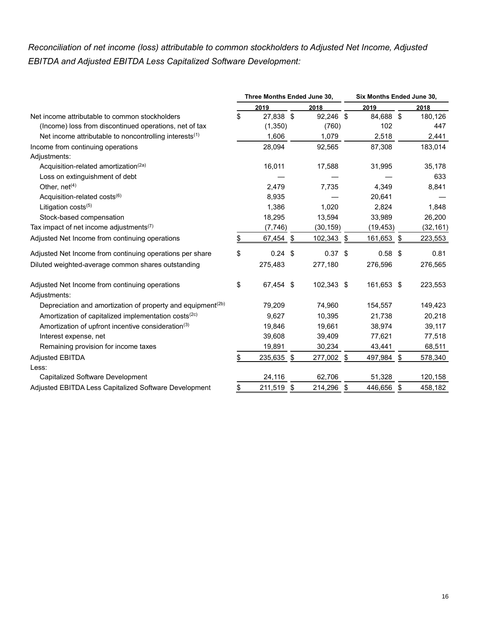## *Reconciliation of net income (loss) attributable to common stockholders to Adjusted Net Income, Adjusted EBITDA and Adjusted EBITDA Less Capitalized Software Development:*

|                                                                                         | Three Months Ended June 30, |                         |            |     | Six Months Ended June 30, |           |
|-----------------------------------------------------------------------------------------|-----------------------------|-------------------------|------------|-----|---------------------------|-----------|
|                                                                                         | 2019                        |                         | 2018       |     | 2019                      | 2018      |
| Net income attributable to common stockholders                                          | \$<br>27,838                | $\sqrt[6]{\frac{1}{2}}$ | 92,246 \$  |     | 84,688 \$                 | 180,126   |
| (Income) loss from discontinued operations, net of tax                                  | (1,350)                     |                         | (760)      |     | 102                       | 447       |
| Net income attributable to noncontrolling interests <sup>(1)</sup>                      | 1,606                       |                         | 1,079      |     | 2,518                     | 2,441     |
| Income from continuing operations                                                       | 28,094                      |                         | 92,565     |     | 87,308                    | 183,014   |
| Adjustments:                                                                            |                             |                         |            |     |                           |           |
| Acquisition-related amortization <sup>(2a)</sup>                                        | 16,011                      |                         | 17,588     |     | 31,995                    | 35,178    |
| Loss on extinguishment of debt                                                          |                             |                         |            |     |                           | 633       |
| Other, net <sup>(4)</sup>                                                               | 2,479                       |                         | 7,735      |     | 4,349                     | 8,841     |
| Acquisition-related costs <sup>(6)</sup>                                                | 8,935                       |                         |            |     | 20,641                    |           |
| Litigation costs <sup>(5)</sup>                                                         | 1,386                       |                         | 1,020      |     | 2,824                     | 1,848     |
| Stock-based compensation                                                                | 18,295                      |                         | 13,594     |     | 33,989                    | 26,200    |
| Tax impact of net income adjustments <sup>(7)</sup>                                     | (7,746)                     |                         | (30, 159)  |     | (19, 453)                 | (32, 161) |
| Adjusted Net Income from continuing operations                                          | \$<br>67,454                | \$                      | 102,343 \$ |     | 161,653 \$                | 223,553   |
| Adjusted Net Income from continuing operations per share                                | \$<br>0.24                  | -\$                     | 0.37       | -\$ | $0.58$ \$                 | 0.81      |
| Diluted weighted-average common shares outstanding                                      | 275,483                     |                         | 277,180    |     | 276,596                   | 276,565   |
| Adjusted Net Income from continuing operations                                          | \$<br>67,454 \$             |                         | 102,343 \$ |     | 161,653 \$                | 223,553   |
| Adjustments:<br>Depreciation and amortization of property and equipment <sup>(2b)</sup> | 79,209                      |                         | 74,960     |     | 154,557                   | 149,423   |
| Amortization of capitalized implementation costs <sup>(2c)</sup>                        | 9,627                       |                         | 10,395     |     | 21,738                    | 20,218    |
| Amortization of upfront incentive consideration <sup>(3)</sup>                          | 19,846                      |                         | 19,661     |     | 38,974                    | 39,117    |
| Interest expense, net                                                                   | 39,608                      |                         | 39,409     |     | 77,621                    | 77,518    |
| Remaining provision for income taxes                                                    | 19,891                      |                         | 30,234     |     | 43,441                    | 68,511    |
| <b>Adjusted EBITDA</b>                                                                  | \$<br>235,635 \$            |                         | 277,002 \$ |     | 497,984 \$                | 578,340   |
| Less:                                                                                   |                             |                         |            |     |                           |           |
| Capitalized Software Development                                                        | 24,116                      |                         | 62,706     |     | 51,328                    | 120,158   |
| Adjusted EBITDA Less Capitalized Software Development                                   | \$<br>211,519 \$            |                         | 214,296 \$ |     | 446,656 \$                | 458,182   |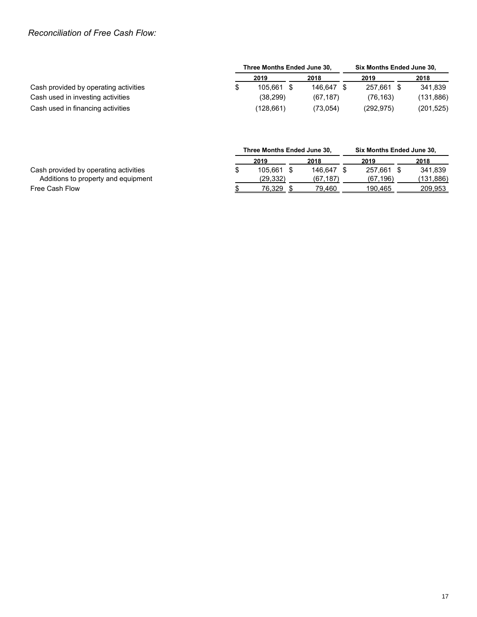## *Reconciliation of Free Cash Flow:*

|                                       | Three Months Ended June 30, |            | Six Months Ended June 30, |  |            |  |  |
|---------------------------------------|-----------------------------|------------|---------------------------|--|------------|--|--|
|                                       | 2019                        | 2018       | 2019                      |  | 2018       |  |  |
| Cash provided by operating activities | 105.661 \$                  | 146.647 \$ | 257.661 \$                |  | 341.839    |  |  |
| Cash used in investing activities     | (38, 299)                   | (67.187)   | (76, 163)                 |  | (131, 886) |  |  |
| Cash used in financing activities     | (128.661)                   | (73.054)   | (292, 975)                |  | (201, 525) |  |  |

|                                       | Three Months Ended June 30, |  |          |  | Six Months Ended June 30, |  |           |  |  |
|---------------------------------------|-----------------------------|--|----------|--|---------------------------|--|-----------|--|--|
|                                       | 2019                        |  | 2018     |  | 2019                      |  | 2018      |  |  |
| Cash provided by operating activities | 105.661                     |  | 146.647  |  | 257.661                   |  | 341.839   |  |  |
| Additions to property and equipment   | (29.332)                    |  | (67.187) |  | (67, 196)                 |  | (131.886) |  |  |
| Free Cash Flow                        | 76.329                      |  | 79.460   |  | 190.465                   |  | 209.953   |  |  |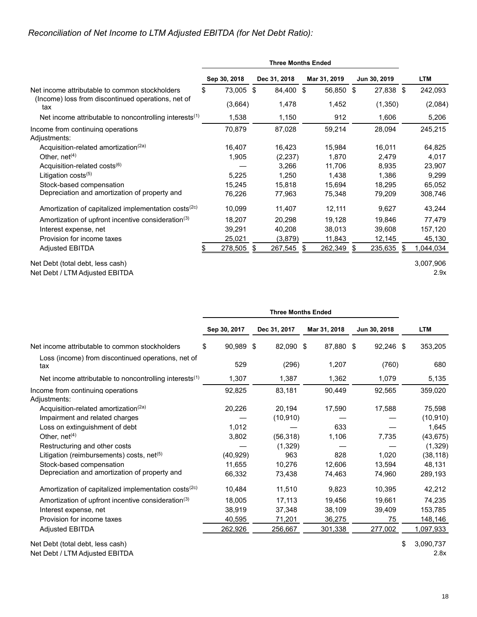## *Reconciliation of Net Income to LTM Adjusted EBITDA (for Net Debt Ratio):*

|                                                                  | <b>Three Months Ended</b> |              |  |              |    |              |              |            |
|------------------------------------------------------------------|---------------------------|--------------|--|--------------|----|--------------|--------------|------------|
|                                                                  |                           | Sep 30, 2018 |  | Dec 31, 2018 |    | Mar 31, 2019 | Jun 30, 2019 | <b>LTM</b> |
| Net income attributable to common stockholders                   | \$                        | 73,005 \$    |  | 84,400 \$    |    | 56,850 \$    | 27,838 \$    | 242,093    |
| (Income) loss from discontinued operations, net of<br>tax        |                           | (3,664)      |  | 1,478        |    | 1,452        | (1,350)      | (2,084)    |
| Net income attributable to noncontrolling interests $(1)$        |                           | 1,538        |  | 1,150        |    | 912          | 1,606        | 5,206      |
| Income from continuing operations<br>Adjustments:                |                           | 70,879       |  | 87,028       |    | 59,214       | 28,094       | 245,215    |
| Acquisition-related amortization <sup>(2a)</sup>                 |                           | 16,407       |  | 16,423       |    | 15,984       | 16,011       | 64,825     |
| Other, $net(4)$                                                  |                           | 1,905        |  | (2,237)      |    | 1,870        | 2,479        | 4,017      |
| Acquisition-related costs <sup>(6)</sup>                         |                           |              |  | 3,266        |    | 11,706       | 8,935        | 23,907     |
| Litigation costs $(5)$                                           |                           | 5,225        |  | 1,250        |    | 1,438        | 1,386        | 9,299      |
| Stock-based compensation                                         |                           | 15,245       |  | 15,818       |    | 15,694       | 18,295       | 65,052     |
| Depreciation and amortization of property and                    |                           | 76,226       |  | 77,963       |    | 75,348       | 79,209       | 308,746    |
| Amortization of capitalized implementation costs <sup>(2c)</sup> |                           | 10,099       |  | 11,407       |    | 12,111       | 9,627        | 43,244     |
| Amortization of upfront incentive consideration <sup>(3)</sup>   |                           | 18,207       |  | 20,298       |    | 19,128       | 19,846       | 77,479     |
| Interest expense, net                                            |                           | 39,291       |  | 40,208       |    | 38,013       | 39,608       | 157,120    |
| Provision for income taxes                                       |                           | 25,021       |  | (3,879)      |    | 11,843       | 12,145       | 45,130     |
| <b>Adjusted EBITDA</b>                                           |                           | $278,505$ \$ |  | 267,545      | \$ | $262,349$ \$ | $235,635$ \$ | 1,044,034  |
| Net Debt (total debt, less cash)                                 |                           |              |  |              |    |              |              | 3,007,906  |
| Net Debt / LTM Adjusted EBITDA                                   |                           |              |  |              |    |              |              | 2.9x       |

|                                                                  | <b>Three Months Ended</b> |           |              |              |              |  |            |
|------------------------------------------------------------------|---------------------------|-----------|--------------|--------------|--------------|--|------------|
|                                                                  | Sep 30, 2017              |           | Dec 31, 2017 | Mar 31, 2018 | Jun 30, 2018 |  | <b>LTM</b> |
| Net income attributable to common stockholders                   | \$                        | 90,989 \$ | 82,090 \$    | 87,880 \$    | 92,246 \$    |  | 353,205    |
| Loss (income) from discontinued operations, net of<br>tax        |                           | 529       | (296)        | 1,207        | (760)        |  | 680        |
| Net income attributable to noncontrolling interests $(1)$        | 1,307                     |           | 1,387        | 1,362        | 1,079        |  | 5,135      |
| Income from continuing operations<br>Adjustments:                | 92,825                    |           | 83,181       | 90,449       | 92,565       |  | 359,020    |
| Acquisition-related amortization <sup>(2a)</sup>                 | 20,226                    |           | 20,194       | 17,590       | 17,588       |  | 75,598     |
| Impairment and related charges                                   |                           |           | (10, 910)    |              |              |  | (10, 910)  |
| Loss on extinguishment of debt                                   | 1,012                     |           |              | 633          |              |  | 1,645      |
| Other, $net(4)$                                                  | 3,802                     |           | (56, 318)    | 1,106        | 7,735        |  | (43, 675)  |
| Restructuring and other costs                                    |                           |           | (1,329)      |              |              |  | (1, 329)   |
| Litigation (reimbursements) costs, net <sup>(5)</sup>            | (40, 929)                 |           | 963          | 828          | 1,020        |  | (38, 118)  |
| Stock-based compensation                                         | 11,655                    |           | 10,276       | 12,606       | 13,594       |  | 48,131     |
| Depreciation and amortization of property and                    | 66,332                    |           | 73,438       | 74,463       | 74,960       |  | 289,193    |
| Amortization of capitalized implementation costs <sup>(2c)</sup> | 10,484                    |           | 11,510       | 9,823        | 10,395       |  | 42,212     |
| Amortization of upfront incentive consideration <sup>(3)</sup>   | 18,005                    |           | 17,113       | 19,456       | 19,661       |  | 74,235     |
| Interest expense, net                                            | 38,919                    |           | 37,348       | 38,109       | 39.409       |  | 153,785    |
| Provision for income taxes                                       | 40,595                    |           | 71,201       | 36,275       | 75           |  | 148,146    |
| <b>Adjusted EBITDA</b>                                           | 262,926                   |           | 256,667      | 301,338      | 277,002      |  | 1,097,933  |

Net Debt (total debt, less cash)  $$3,090,737$ 

Net Debt / LTM Adjusted EBITDA 2.8x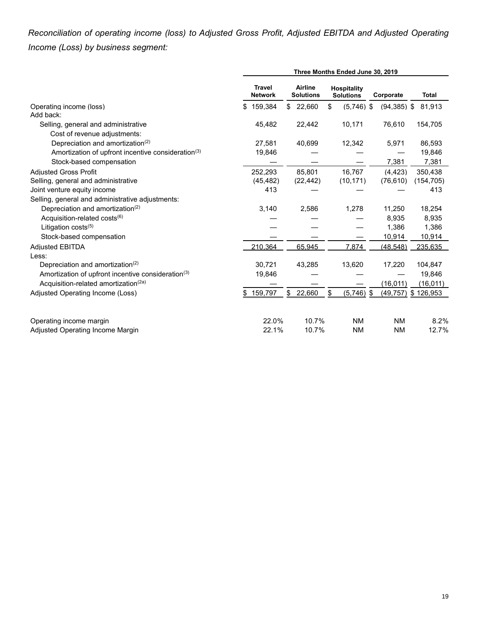*Reconciliation of operating income (loss) to Adjusted Gross Profit, Adjusted EBITDA and Adjusted Operating Income (Loss) by business segment:*

|                                                                |                                 |                                    | Three Months Ended June 30, 2019       |                |                       |
|----------------------------------------------------------------|---------------------------------|------------------------------------|----------------------------------------|----------------|-----------------------|
|                                                                | <b>Travel</b><br><b>Network</b> | <b>Airline</b><br><b>Solutions</b> | <b>Hospitality</b><br><b>Solutions</b> | Corporate      | <b>Total</b>          |
| Operating income (loss)                                        | 159.384<br>S                    | 22,660<br>\$                       | \$<br>$(5,746)$ \$                     | $(94, 385)$ \$ | 81.913                |
| Add back:                                                      |                                 |                                    |                                        |                |                       |
| Selling, general and administrative                            | 45,482                          | 22,442                             | 10,171                                 | 76,610         | 154,705               |
| Cost of revenue adjustments:                                   |                                 |                                    |                                        |                |                       |
| Depreciation and amortization <sup>(2)</sup>                   | 27,581                          | 40,699                             | 12,342                                 | 5,971          | 86,593                |
| Amortization of upfront incentive consideration <sup>(3)</sup> | 19,846                          |                                    |                                        |                | 19,846                |
| Stock-based compensation                                       |                                 |                                    |                                        | 7,381          | 7,381                 |
| <b>Adiusted Gross Profit</b>                                   | 252,293                         | 85,801                             | 16,767                                 | (4, 423)       | 350,438               |
| Selling, general and administrative                            | (45, 482)                       | (22, 442)                          | (10, 171)                              | (76, 610)      | (154, 705)            |
| Joint venture equity income                                    | 413                             |                                    |                                        |                | 413                   |
| Selling, general and administrative adjustments:               |                                 |                                    |                                        |                |                       |
| Depreciation and amortization <sup>(2)</sup>                   | 3,140                           | 2,586                              | 1,278                                  | 11,250         | 18,254                |
| Acquisition-related costs <sup>(6)</sup>                       |                                 |                                    |                                        | 8,935          | 8,935                 |
| Litigation costs $(5)$                                         |                                 |                                    |                                        | 1,386          | 1,386                 |
| Stock-based compensation                                       |                                 |                                    |                                        | 10,914         | 10,914                |
| <b>Adjusted EBITDA</b>                                         | 210,364                         | 65,945                             | 7,874                                  | (48, 548)      | 235,635               |
| Less:                                                          |                                 |                                    |                                        |                |                       |
| Depreciation and amortization <sup>(2)</sup>                   | 30.721                          | 43,285                             | 13,620                                 | 17,220         | 104,847               |
| Amortization of upfront incentive consideration <sup>(3)</sup> | 19,846                          |                                    |                                        |                | 19,846                |
| Acquisition-related amortization <sup>(2a)</sup>               |                                 |                                    |                                        | (16, 011)      | (16, 011)             |
| Adjusted Operating Income (Loss)                               | 159,797<br>\$                   | \$22,660                           | \$<br>$(5,746)$ \$                     |                | $(49,757)$ \$ 126,953 |
| Operating income margin                                        | 22.0%                           | 10.7%                              | <b>NM</b>                              | <b>NM</b>      | 8.2%                  |
| Adjusted Operating Income Margin                               | 22.1%                           | 10.7%                              | <b>NM</b>                              | <b>NM</b>      | 12.7%                 |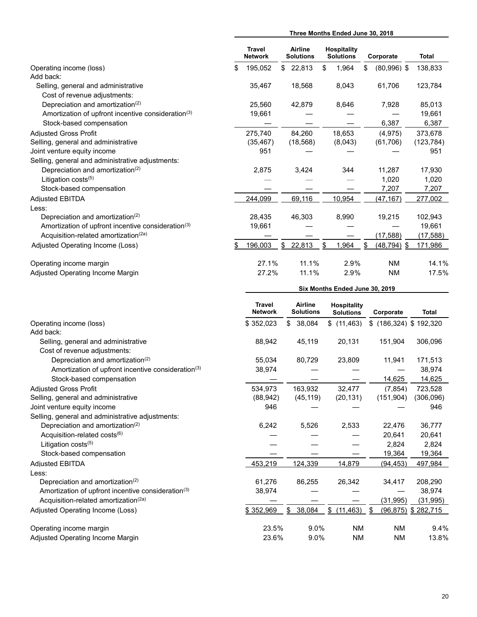|                                                                     | Three Months Ended June 30, 2018 |                             |                             |                                        |                                        |                          |           |                           |  |  |  |
|---------------------------------------------------------------------|----------------------------------|-----------------------------|-----------------------------|----------------------------------------|----------------------------------------|--------------------------|-----------|---------------------------|--|--|--|
|                                                                     | <b>Travel</b><br><b>Network</b>  | Airline<br><b>Solutions</b> |                             | <b>Hospitality</b><br><b>Solutions</b> |                                        | Corporate                |           | Total                     |  |  |  |
| Operating income (loss)<br>Add back:                                | \$<br>195,052                    | \$                          | 22,813                      | \$                                     | 1,964                                  | $(80,996)$ \$<br>\$      |           | 138,833                   |  |  |  |
| Selling, general and administrative<br>Cost of revenue adjustments: | 35,467                           |                             | 18,568                      |                                        | 8,043                                  | 61,706                   |           | 123,784                   |  |  |  |
| Depreciation and amortization <sup>(2)</sup>                        | 25,560                           |                             | 42,879                      |                                        | 8,646                                  | 7,928                    |           | 85,013                    |  |  |  |
| Amortization of upfront incentive consideration <sup>(3)</sup>      | 19,661                           |                             |                             |                                        |                                        |                          |           | 19,661                    |  |  |  |
| Stock-based compensation                                            |                                  |                             |                             |                                        |                                        | 6,387                    |           | 6,387                     |  |  |  |
| <b>Adjusted Gross Profit</b>                                        | 275,740                          |                             | 84,260                      |                                        | 18,653                                 | (4, 975)                 |           | 373,678                   |  |  |  |
| Selling, general and administrative                                 | (35, 467)                        |                             | (18, 568)                   |                                        | (8,043)                                | (61, 706)                |           | (123, 784)                |  |  |  |
| Joint venture equity income                                         | 951                              |                             |                             |                                        |                                        |                          |           | 951                       |  |  |  |
| Selling, general and administrative adjustments:                    |                                  |                             |                             |                                        |                                        |                          |           |                           |  |  |  |
| Depreciation and amortization <sup>(2)</sup>                        | 2,875                            |                             | 3,424                       |                                        | 344                                    | 11,287                   |           | 17,930                    |  |  |  |
| Litigation costs(5)                                                 |                                  |                             |                             |                                        |                                        | 1,020                    |           | 1,020                     |  |  |  |
| Stock-based compensation                                            |                                  |                             |                             |                                        |                                        | 7,207                    |           | 7,207                     |  |  |  |
| <b>Adjusted EBITDA</b>                                              | 244,099                          |                             | 69,116                      |                                        | 10,954                                 | (47, 167)                |           | 277,002                   |  |  |  |
| Less:                                                               |                                  |                             |                             |                                        |                                        |                          |           |                           |  |  |  |
| Depreciation and amortization <sup>(2)</sup>                        | 28,435                           |                             | 46,303                      |                                        | 8,990                                  | 19,215                   |           | 102,943                   |  |  |  |
| Amortization of upfront incentive consideration <sup>(3)</sup>      | 19,661                           |                             |                             |                                        |                                        |                          |           | 19,661                    |  |  |  |
| Acquisition-related amortization <sup>(2a)</sup>                    |                                  |                             |                             |                                        |                                        | (17, 588)                |           | (17, 588)                 |  |  |  |
| Adjusted Operating Income (Loss)                                    | \$<br>196,003                    | $\frac{1}{2}$               | 22,813                      | \$                                     | 1,964                                  | \$<br><u>(48,794) \$</u> |           | 171,986                   |  |  |  |
|                                                                     |                                  |                             |                             |                                        |                                        |                          |           |                           |  |  |  |
| Operating income margin                                             | 27.1%                            |                             | 11.1%                       |                                        | 2.9%                                   | <b>NM</b>                |           | 14.1%                     |  |  |  |
| Adjusted Operating Income Margin                                    | 27.2%                            |                             | 11.1%                       |                                        | 2.9%                                   | <b>NM</b>                |           | 17.5%                     |  |  |  |
|                                                                     | Six Months Ended June 30, 2019   |                             |                             |                                        |                                        |                          |           |                           |  |  |  |
|                                                                     |                                  |                             |                             |                                        |                                        |                          |           |                           |  |  |  |
|                                                                     | Travel<br><b>Network</b>         |                             | Airline<br><b>Solutions</b> |                                        | <b>Hospitality</b><br><b>Solutions</b> | Corporate                |           | <b>Total</b>              |  |  |  |
| Operating income (loss)<br>Add back:                                | \$352,023                        |                             | \$38,084                    |                                        | \$(11, 463)                            |                          |           | $$$ (186,324) $$$ 192,320 |  |  |  |
| Selling, general and administrative<br>Cost of revenue adjustments: | 88,942                           |                             | 45,119                      |                                        | 20,131                                 | 151,904                  |           | 306,096                   |  |  |  |
| Depreciation and amortization <sup>(2)</sup>                        | 55,034                           |                             | 80,729                      |                                        | 23,809                                 | 11,941                   |           | 171,513                   |  |  |  |
| Amortization of upfront incentive consideration <sup>(3)</sup>      | 38,974                           |                             |                             |                                        |                                        |                          |           | 38,974                    |  |  |  |
| Stock-based compensation                                            |                                  |                             |                             |                                        |                                        | 14,625                   |           | 14,625                    |  |  |  |
| <b>Adjusted Gross Profit</b>                                        | 534,973                          |                             | 163,932                     |                                        | 32,477                                 | (7, 854)                 |           | 723,528                   |  |  |  |
| Selling, general and administrative                                 | (88, 942)                        |                             | (45, 119)                   |                                        | (20, 131)                              | (151, 904)               |           | (306,096)                 |  |  |  |
| Joint venture equity income                                         | 946                              |                             |                             |                                        |                                        |                          |           | 946                       |  |  |  |
| Selling, general and administrative adjustments:                    |                                  |                             |                             |                                        |                                        |                          |           |                           |  |  |  |
| Depreciation and amortization <sup>(2)</sup>                        | 6,242                            |                             | 5,526                       |                                        | 2,533                                  | 22,476                   |           | 36,777                    |  |  |  |
| Acquisition-related costs(6)                                        |                                  |                             |                             |                                        |                                        | 20,641                   |           | 20,641                    |  |  |  |
| Litigation costs <sup>(5)</sup>                                     |                                  |                             |                             |                                        |                                        | 2,824                    |           | 2,824                     |  |  |  |
| Stock-based compensation                                            |                                  |                             |                             |                                        |                                        | 19,364                   |           | 19,364                    |  |  |  |
| <b>Adjusted EBITDA</b>                                              | 453,219                          |                             | 124,339                     |                                        | 14,879                                 | (94, 453)                |           | 497,984                   |  |  |  |
| Less:                                                               |                                  |                             |                             |                                        |                                        |                          |           |                           |  |  |  |
| Depreciation and amortization <sup>(2)</sup>                        | 61,276                           |                             | 86,255                      |                                        | 26,342                                 | 34,417                   |           | 208,290                   |  |  |  |
| Amortization of upfront incentive consideration <sup>(3)</sup>      | 38,974                           |                             |                             |                                        |                                        |                          |           | 38,974                    |  |  |  |
| Acquisition-related amortization <sup>(2a)</sup>                    |                                  |                             |                             |                                        |                                        | (31, 995)                |           | (31, 995)                 |  |  |  |
| Adjusted Operating Income (Loss)                                    | \$352,969                        |                             | 38,084<br>\$                | $\frac{1}{2}$                          | (11, 463)                              | \$<br>(96, 875)          |           | \$282,715                 |  |  |  |
| Operating income margin                                             | 23.5%                            |                             | 9.0%                        |                                        | <b>NM</b>                              |                          | <b>NM</b> | 9.4%                      |  |  |  |
|                                                                     |                                  |                             |                             |                                        |                                        |                          |           |                           |  |  |  |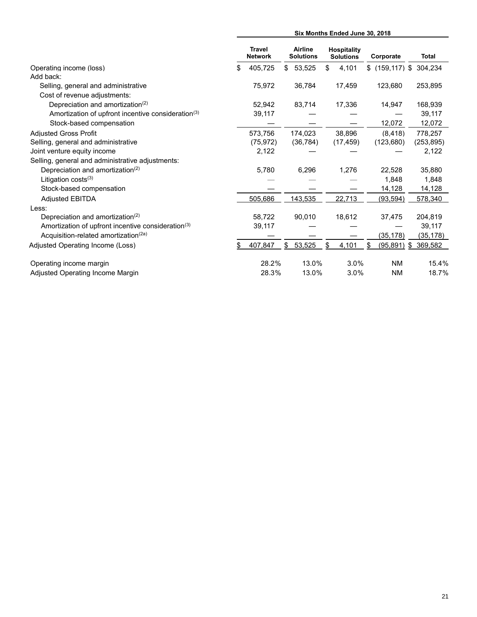|                                                                | Six Months Ended June 30, 2018  |                                    |    |                                        |  |                           |              |  |  |
|----------------------------------------------------------------|---------------------------------|------------------------------------|----|----------------------------------------|--|---------------------------|--------------|--|--|
|                                                                | <b>Travel</b><br><b>Network</b> | <b>Airline</b><br><b>Solutions</b> |    | <b>Hospitality</b><br><b>Solutions</b> |  | Corporate                 | <b>Total</b> |  |  |
| Operating income (loss)                                        | \$<br>405,725                   | \$<br>53,525                       | \$ | 4,101                                  |  | $$$ (159,117) $$$ 304,234 |              |  |  |
| Add back:                                                      |                                 |                                    |    |                                        |  |                           |              |  |  |
| Selling, general and administrative                            | 75,972                          | 36,784                             |    | 17,459                                 |  | 123,680                   | 253,895      |  |  |
| Cost of revenue adjustments:                                   |                                 |                                    |    |                                        |  |                           |              |  |  |
| Depreciation and amortization <sup>(2)</sup>                   | 52,942                          | 83,714                             |    | 17,336                                 |  | 14,947                    | 168,939      |  |  |
| Amortization of upfront incentive consideration <sup>(3)</sup> | 39,117                          |                                    |    |                                        |  |                           | 39,117       |  |  |
| Stock-based compensation                                       |                                 |                                    |    |                                        |  | 12,072                    | 12,072       |  |  |
| <b>Adiusted Gross Profit</b>                                   | 573,756                         | 174,023                            |    | 38.896                                 |  | (8, 418)                  | 778.257      |  |  |
| Selling, general and administrative                            | (75, 972)                       | (36, 784)                          |    | (17, 459)                              |  | (123,680)                 | (253, 895)   |  |  |
| Joint venture equity income                                    | 2,122                           |                                    |    |                                        |  |                           | 2,122        |  |  |
| Selling, general and administrative adjustments:               |                                 |                                    |    |                                        |  |                           |              |  |  |
| Depreciation and amortization <sup>(2)</sup>                   | 5,780                           | 6,296                              |    | 1,276                                  |  | 22,528                    | 35,880       |  |  |
| Litigation $costs^{(3)}$                                       |                                 |                                    |    |                                        |  | 1.848                     | 1,848        |  |  |
| Stock-based compensation                                       |                                 |                                    |    |                                        |  | 14,128                    | 14,128       |  |  |
| <b>Adiusted EBITDA</b>                                         | 505,686                         | 143,535                            |    | 22,713                                 |  | (93, 594)                 | 578,340      |  |  |
| Less:                                                          |                                 |                                    |    |                                        |  |                           |              |  |  |
| Depreciation and amortization <sup>(2)</sup>                   | 58,722                          | 90,010                             |    | 18,612                                 |  | 37,475                    | 204,819      |  |  |
| Amortization of upfront incentive consideration <sup>(3)</sup> | 39,117                          |                                    |    |                                        |  |                           | 39,117       |  |  |
| Acquisition-related amortization <sup>(2a)</sup>               |                                 |                                    |    |                                        |  | (35, 178)                 | (35, 178)    |  |  |
| Adjusted Operating Income (Loss)                               | 407,847                         | \$<br>53,525                       | \$ | 4,101                                  |  | $(95,891)$ \$             | 369,582      |  |  |
| Operating income margin                                        | 28.2%                           | 13.0%                              |    | 3.0%                                   |  | <b>NM</b>                 | 15.4%        |  |  |
| Adjusted Operating Income Margin                               | 28.3%                           | 13.0%                              |    | 3.0%                                   |  | <b>NM</b>                 | 18.7%        |  |  |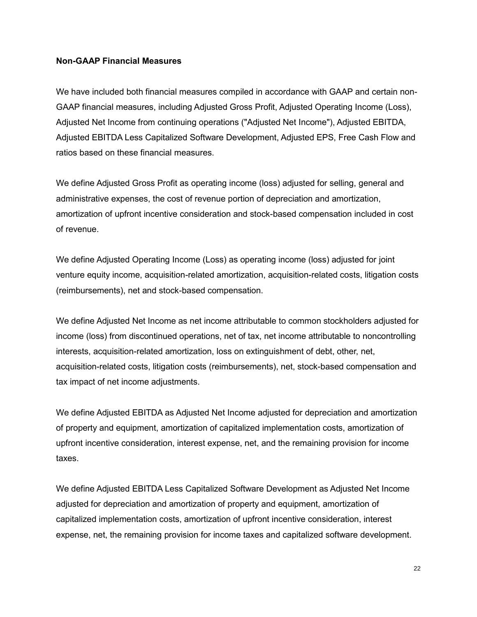### **Non-GAAP Financial Measures**

We have included both financial measures compiled in accordance with GAAP and certain non-GAAP financial measures, including Adjusted Gross Profit, Adjusted Operating Income (Loss), Adjusted Net Income from continuing operations ("Adjusted Net Income"), Adjusted EBITDA, Adjusted EBITDA Less Capitalized Software Development, Adjusted EPS, Free Cash Flow and ratios based on these financial measures.

We define Adjusted Gross Profit as operating income (loss) adjusted for selling, general and administrative expenses, the cost of revenue portion of depreciation and amortization, amortization of upfront incentive consideration and stock-based compensation included in cost of revenue.

We define Adjusted Operating Income (Loss) as operating income (loss) adjusted for joint venture equity income, acquisition-related amortization, acquisition-related costs, litigation costs (reimbursements), net and stock-based compensation.

We define Adjusted Net Income as net income attributable to common stockholders adjusted for income (loss) from discontinued operations, net of tax, net income attributable to noncontrolling interests, acquisition-related amortization, loss on extinguishment of debt, other, net, acquisition-related costs, litigation costs (reimbursements), net, stock-based compensation and tax impact of net income adjustments.

We define Adjusted EBITDA as Adjusted Net Income adjusted for depreciation and amortization of property and equipment, amortization of capitalized implementation costs, amortization of upfront incentive consideration, interest expense, net, and the remaining provision for income taxes.

We define Adjusted EBITDA Less Capitalized Software Development as Adjusted Net Income adjusted for depreciation and amortization of property and equipment, amortization of capitalized implementation costs, amortization of upfront incentive consideration, interest expense, net, the remaining provision for income taxes and capitalized software development.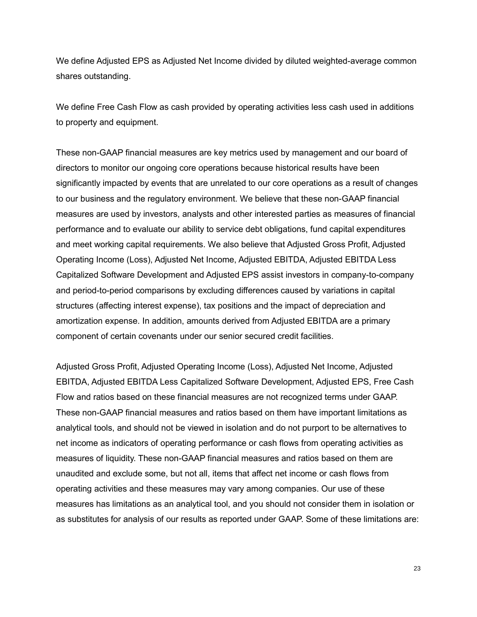We define Adjusted EPS as Adjusted Net Income divided by diluted weighted-average common shares outstanding.

We define Free Cash Flow as cash provided by operating activities less cash used in additions to property and equipment.

These non-GAAP financial measures are key metrics used by management and our board of directors to monitor our ongoing core operations because historical results have been significantly impacted by events that are unrelated to our core operations as a result of changes to our business and the regulatory environment. We believe that these non-GAAP financial measures are used by investors, analysts and other interested parties as measures of financial performance and to evaluate our ability to service debt obligations, fund capital expenditures and meet working capital requirements. We also believe that Adjusted Gross Profit, Adjusted Operating Income (Loss), Adjusted Net Income, Adjusted EBITDA, Adjusted EBITDA Less Capitalized Software Development and Adjusted EPS assist investors in company-to-company and period-to-period comparisons by excluding differences caused by variations in capital structures (affecting interest expense), tax positions and the impact of depreciation and amortization expense. In addition, amounts derived from Adjusted EBITDA are a primary component of certain covenants under our senior secured credit facilities.

Adjusted Gross Profit, Adjusted Operating Income (Loss), Adjusted Net Income, Adjusted EBITDA, Adjusted EBITDA Less Capitalized Software Development, Adjusted EPS, Free Cash Flow and ratios based on these financial measures are not recognized terms under GAAP. These non-GAAP financial measures and ratios based on them have important limitations as analytical tools, and should not be viewed in isolation and do not purport to be alternatives to net income as indicators of operating performance or cash flows from operating activities as measures of liquidity. These non-GAAP financial measures and ratios based on them are unaudited and exclude some, but not all, items that affect net income or cash flows from operating activities and these measures may vary among companies. Our use of these measures has limitations as an analytical tool, and you should not consider them in isolation or as substitutes for analysis of our results as reported under GAAP. Some of these limitations are: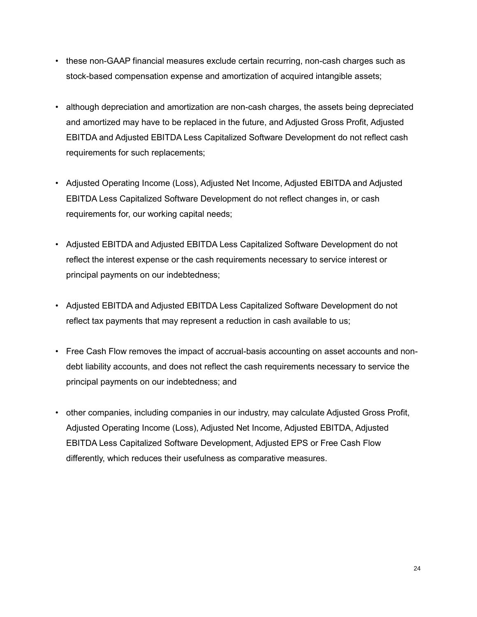- these non-GAAP financial measures exclude certain recurring, non-cash charges such as stock-based compensation expense and amortization of acquired intangible assets;
- although depreciation and amortization are non-cash charges, the assets being depreciated and amortized may have to be replaced in the future, and Adjusted Gross Profit, Adjusted EBITDA and Adjusted EBITDA Less Capitalized Software Development do not reflect cash requirements for such replacements;
- Adjusted Operating Income (Loss), Adjusted Net Income, Adjusted EBITDA and Adjusted EBITDA Less Capitalized Software Development do not reflect changes in, or cash requirements for, our working capital needs;
- Adjusted EBITDA and Adjusted EBITDA Less Capitalized Software Development do not reflect the interest expense or the cash requirements necessary to service interest or principal payments on our indebtedness;
- Adjusted EBITDA and Adjusted EBITDA Less Capitalized Software Development do not reflect tax payments that may represent a reduction in cash available to us;
- Free Cash Flow removes the impact of accrual-basis accounting on asset accounts and nondebt liability accounts, and does not reflect the cash requirements necessary to service the principal payments on our indebtedness; and
- other companies, including companies in our industry, may calculate Adjusted Gross Profit, Adjusted Operating Income (Loss), Adjusted Net Income, Adjusted EBITDA, Adjusted EBITDA Less Capitalized Software Development, Adjusted EPS or Free Cash Flow differently, which reduces their usefulness as comparative measures.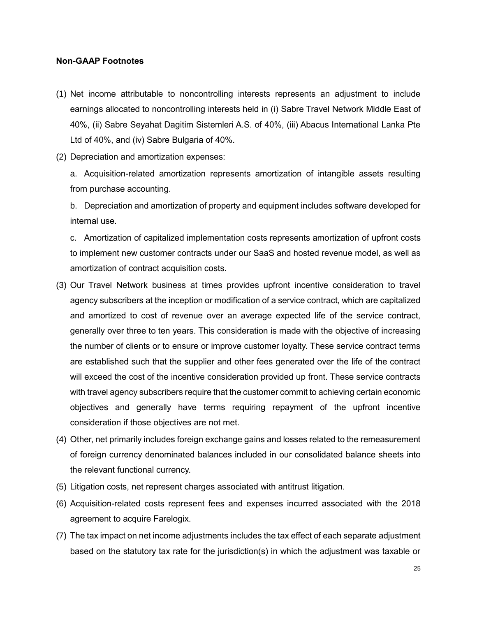### **Non-GAAP Footnotes**

- (1) Net income attributable to noncontrolling interests represents an adjustment to include earnings allocated to noncontrolling interests held in (i) Sabre Travel Network Middle East of 40%, (ii) Sabre Seyahat Dagitim Sistemleri A.S. of 40%, (iii) Abacus International Lanka Pte Ltd of 40%, and (iv) Sabre Bulgaria of 40%.
- (2) Depreciation and amortization expenses:

a. Acquisition-related amortization represents amortization of intangible assets resulting from purchase accounting.

b. Depreciation and amortization of property and equipment includes software developed for internal use.

c. Amortization of capitalized implementation costs represents amortization of upfront costs to implement new customer contracts under our SaaS and hosted revenue model, as well as amortization of contract acquisition costs.

- (3) Our Travel Network business at times provides upfront incentive consideration to travel agency subscribers at the inception or modification of a service contract, which are capitalized and amortized to cost of revenue over an average expected life of the service contract, generally over three to ten years. This consideration is made with the objective of increasing the number of clients or to ensure or improve customer loyalty. These service contract terms are established such that the supplier and other fees generated over the life of the contract will exceed the cost of the incentive consideration provided up front. These service contracts with travel agency subscribers require that the customer commit to achieving certain economic objectives and generally have terms requiring repayment of the upfront incentive consideration if those objectives are not met.
- (4) Other, net primarily includes foreign exchange gains and losses related to the remeasurement of foreign currency denominated balances included in our consolidated balance sheets into the relevant functional currency.
- (5) Litigation costs, net represent charges associated with antitrust litigation.
- (6) Acquisition-related costs represent fees and expenses incurred associated with the 2018 agreement to acquire Farelogix.
- (7) The tax impact on net income adjustments includes the tax effect of each separate adjustment based on the statutory tax rate for the jurisdiction(s) in which the adjustment was taxable or